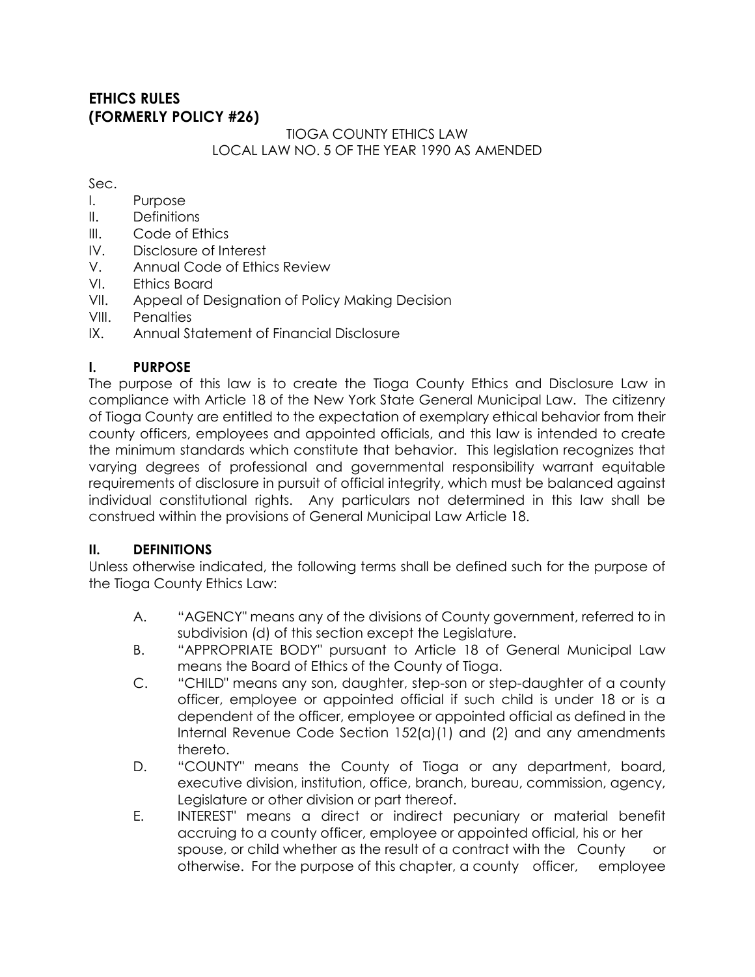## **ETHICS RULES (FORMERLY POLICY #26)**

### TIOGA COUNTY ETHICS LAW LOCAL LAW NO. 5 OF THE YEAR 1990 AS AMENDED

#### Sec.

- I. Purpose
- II. Definitions
- III. Code of Ethics
- IV. Disclosure of Interest
- V. Annual Code of Ethics Review
- VI. Ethics Board
- VII. Appeal of Designation of Policy Making Decision
- VIII. Penalties
- IX. Annual Statement of Financial Disclosure

### **I. PURPOSE**

The purpose of this law is to create the Tioga County Ethics and Disclosure Law in compliance with Article 18 of the New York State General Municipal Law. The citizenry of Tioga County are entitled to the expectation of exemplary ethical behavior from their county officers, employees and appointed officials, and this law is intended to create the minimum standards which constitute that behavior. This legislation recognizes that varying degrees of professional and governmental responsibility warrant equitable requirements of disclosure in pursuit of official integrity, which must be balanced against individual constitutional rights. Any particulars not determined in this law shall be construed within the provisions of General Municipal Law Article 18.

### **II. DEFINITIONS**

Unless otherwise indicated, the following terms shall be defined such for the purpose of the Tioga County Ethics Law:

- A. "AGENCY" means any of the divisions of County government, referred to in subdivision (d) of this section except the Legislature.
- B. "APPROPRIATE BODY" pursuant to Article 18 of General Municipal Law means the Board of Ethics of the County of Tioga.
- C. "CHILD" means any son, daughter, step-son or step-daughter of a county officer, employee or appointed official if such child is under 18 or is a dependent of the officer, employee or appointed official as defined in the Internal Revenue Code Section 152(a)(1) and (2) and any amendments thereto.
- D. "COUNTY" means the County of Tioga or any department, board, executive division, institution, office, branch, bureau, commission, agency, Legislature or other division or part thereof.
- E. INTEREST" means a direct or indirect pecuniary or material benefit accruing to a county officer, employee or appointed official, his or her spouse, or child whether as the result of a contract with the County or otherwise. For the purpose of this chapter, a county officer, employee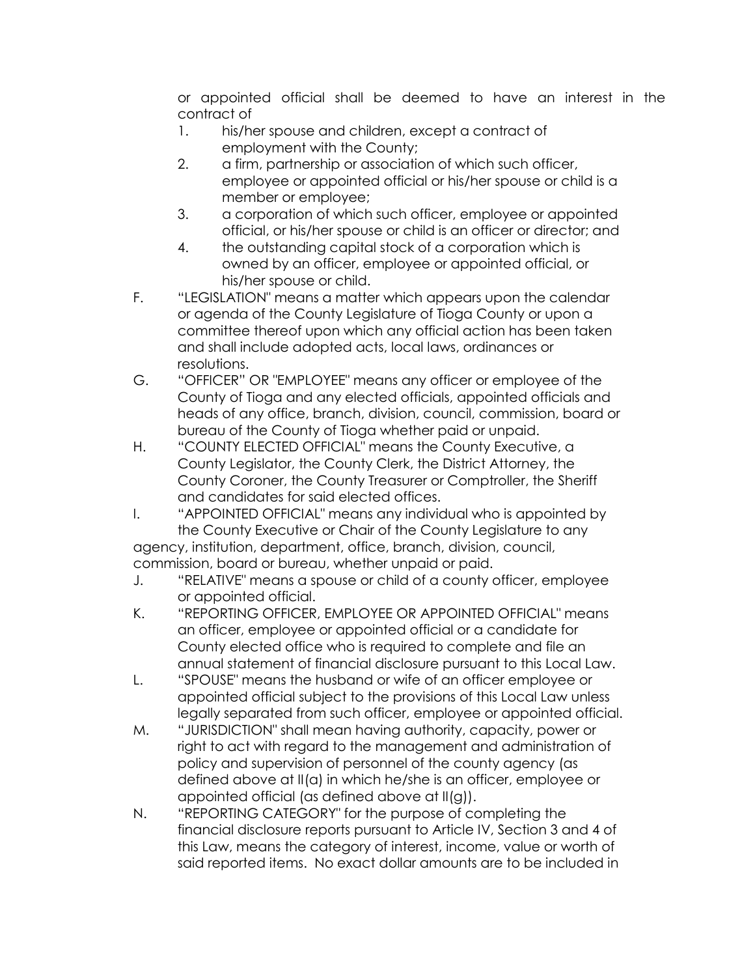or appointed official shall be deemed to have an interest in the contract of

- 1. his/her spouse and children, except a contract of employment with the County;
- 2. a firm, partnership or association of which such officer, employee or appointed official or his/her spouse or child is a member or employee;
- 3. a corporation of which such officer, employee or appointed official, or his/her spouse or child is an officer or director; and
- 4. the outstanding capital stock of a corporation which is owned by an officer, employee or appointed official, or his/her spouse or child.
- F. "LEGISLATION" means a matter which appears upon the calendar or agenda of the County Legislature of Tioga County or upon a committee thereof upon which any official action has been taken and shall include adopted acts, local laws, ordinances or resolutions.
- G. "OFFICER" OR "EMPLOYEE" means any officer or employee of the County of Tioga and any elected officials, appointed officials and heads of any office, branch, division, council, commission, board or bureau of the County of Tioga whether paid or unpaid.
- H. "COUNTY ELECTED OFFICIAL" means the County Executive, a County Legislator, the County Clerk, the District Attorney, the County Coroner, the County Treasurer or Comptroller, the Sheriff and candidates for said elected offices.
- I. "APPOINTED OFFICIAL" means any individual who is appointed by the County Executive or Chair of the County Legislature to any agency, institution, department, office, branch, division, council,

commission, board or bureau, whether unpaid or paid.

- J. "RELATIVE" means a spouse or child of a county officer, employee or appointed official.
- K. "REPORTING OFFICER, EMPLOYEE OR APPOINTED OFFICIAL" means an officer, employee or appointed official or a candidate for County elected office who is required to complete and file an annual statement of financial disclosure pursuant to this Local Law.
- L. "SPOUSE" means the husband or wife of an officer employee or appointed official subject to the provisions of this Local Law unless legally separated from such officer, employee or appointed official.
- M. "JURISDICTION" shall mean having authority, capacity, power or right to act with regard to the management and administration of policy and supervision of personnel of the county agency (as defined above at II(a) in which he/she is an officer, employee or appointed official (as defined above at II(g)).
- N. "REPORTING CATEGORY" for the purpose of completing the financial disclosure reports pursuant to Article IV, Section 3 and 4 of this Law, means the category of interest, income, value or worth of said reported items. No exact dollar amounts are to be included in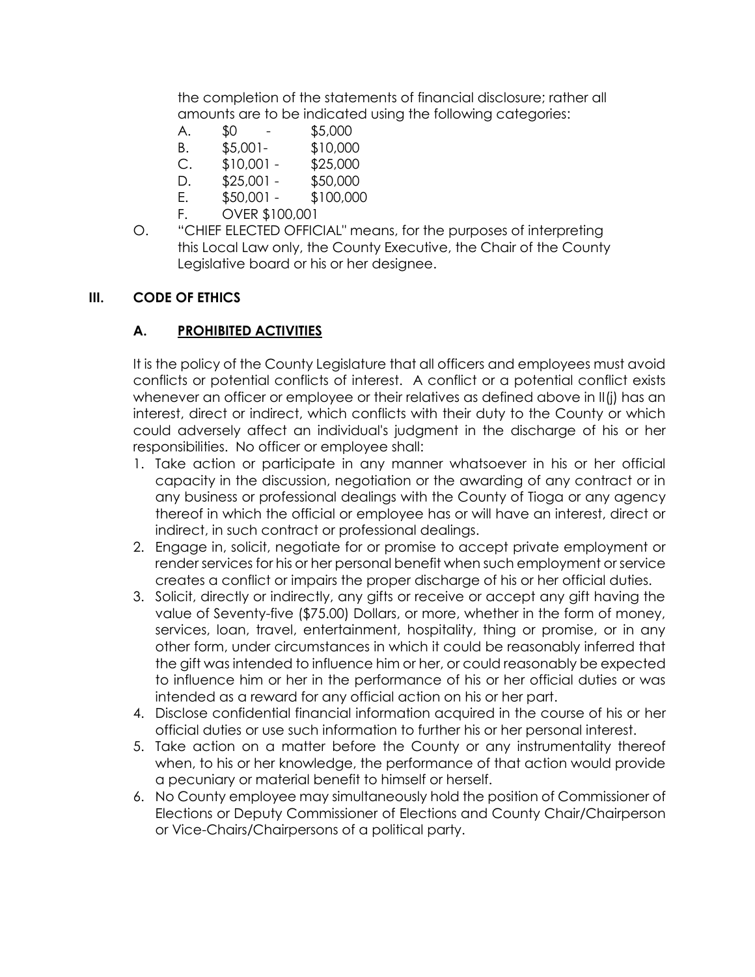the completion of the statements of financial disclosure; rather all amounts are to be indicated using the following categories:

- A. \$0 \$5,000
- B. \$5,001- \$10,000
- C. \$10,001 \$25,000
- D. \$25,001 \$50,000
- E. \$50,001 \$100,000
- F. OVER \$100,001
- O. "CHIEF ELECTED OFFICIAL" means, for the purposes of interpreting this Local Law only, the County Executive, the Chair of the County Legislative board or his or her designee.

#### **III. CODE OF ETHICS**

### **A. PROHIBITED ACTIVITIES**

It is the policy of the County Legislature that all officers and employees must avoid conflicts or potential conflicts of interest. A conflict or a potential conflict exists whenever an officer or employee or their relatives as defined above in II(j) has an interest, direct or indirect, which conflicts with their duty to the County or which could adversely affect an individual's judgment in the discharge of his or her responsibilities. No officer or employee shall:

- 1. Take action or participate in any manner whatsoever in his or her official capacity in the discussion, negotiation or the awarding of any contract or in any business or professional dealings with the County of Tioga or any agency thereof in which the official or employee has or will have an interest, direct or indirect, in such contract or professional dealings.
- 2. Engage in, solicit, negotiate for or promise to accept private employment or render services for his or her personal benefit when such employment or service creates a conflict or impairs the proper discharge of his or her official duties.
- 3. Solicit, directly or indirectly, any gifts or receive or accept any gift having the value of Seventy-five (\$75.00) Dollars, or more, whether in the form of money, services, loan, travel, entertainment, hospitality, thing or promise, or in any other form, under circumstances in which it could be reasonably inferred that the gift was intended to influence him or her, or could reasonably be expected to influence him or her in the performance of his or her official duties or was intended as a reward for any official action on his or her part.
- 4. Disclose confidential financial information acquired in the course of his or her official duties or use such information to further his or her personal interest.
- 5. Take action on a matter before the County or any instrumentality thereof when, to his or her knowledge, the performance of that action would provide a pecuniary or material benefit to himself or herself.
- 6. No County employee may simultaneously hold the position of Commissioner of Elections or Deputy Commissioner of Elections and County Chair/Chairperson or Vice-Chairs/Chairpersons of a political party.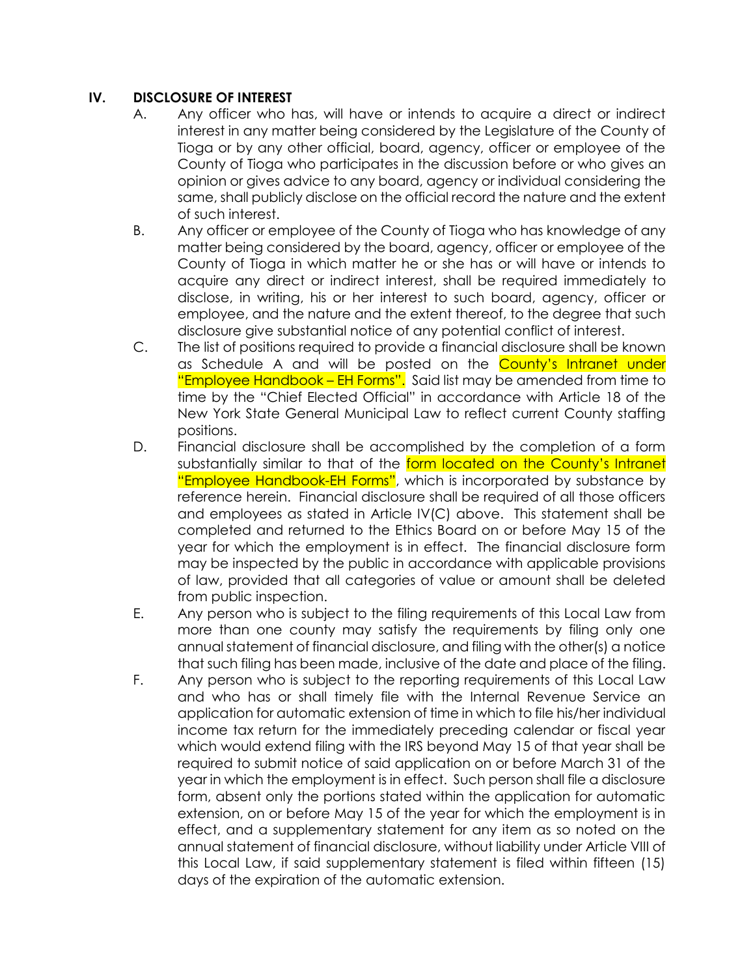### **IV. DISCLOSURE OF INTEREST**

- A. Any officer who has, will have or intends to acquire a direct or indirect interest in any matter being considered by the Legislature of the County of Tioga or by any other official, board, agency, officer or employee of the County of Tioga who participates in the discussion before or who gives an opinion or gives advice to any board, agency or individual considering the same, shall publicly disclose on the official record the nature and the extent of such interest.
- B. Any officer or employee of the County of Tioga who has knowledge of any matter being considered by the board, agency, officer or employee of the County of Tioga in which matter he or she has or will have or intends to acquire any direct or indirect interest, shall be required immediately to disclose, in writing, his or her interest to such board, agency, officer or employee, and the nature and the extent thereof, to the degree that such disclosure give substantial notice of any potential conflict of interest.
- C. The list of positions required to provide a financial disclosure shall be known as Schedule A and will be posted on the County's Intranet under "Employee Handbook – EH Forms". Said list may be amended from time to time by the "Chief Elected Official" in accordance with Article 18 of the New York State General Municipal Law to reflect current County staffing positions.
- D. Financial disclosure shall be accomplished by the completion of a form substantially similar to that of the form located on the County's Intranet "Employee Handbook-EH Forms", which is incorporated by substance by reference herein. Financial disclosure shall be required of all those officers and employees as stated in Article IV(C) above. This statement shall be completed and returned to the Ethics Board on or before May 15 of the year for which the employment is in effect. The financial disclosure form may be inspected by the public in accordance with applicable provisions of law, provided that all categories of value or amount shall be deleted from public inspection.
- E. Any person who is subject to the filing requirements of this Local Law from more than one county may satisfy the requirements by filing only one annual statement of financial disclosure, and filing with the other(s) a notice that such filing has been made, inclusive of the date and place of the filing.
- F. Any person who is subject to the reporting requirements of this Local Law and who has or shall timely file with the Internal Revenue Service an application for automatic extension of time in which to file his/her individual income tax return for the immediately preceding calendar or fiscal year which would extend filing with the IRS beyond May 15 of that year shall be required to submit notice of said application on or before March 31 of the year in which the employment is in effect. Such person shall file a disclosure form, absent only the portions stated within the application for automatic extension, on or before May 15 of the year for which the employment is in effect, and a supplementary statement for any item as so noted on the annual statement of financial disclosure, without liability under Article VIII of this Local Law, if said supplementary statement is filed within fifteen (15) days of the expiration of the automatic extension.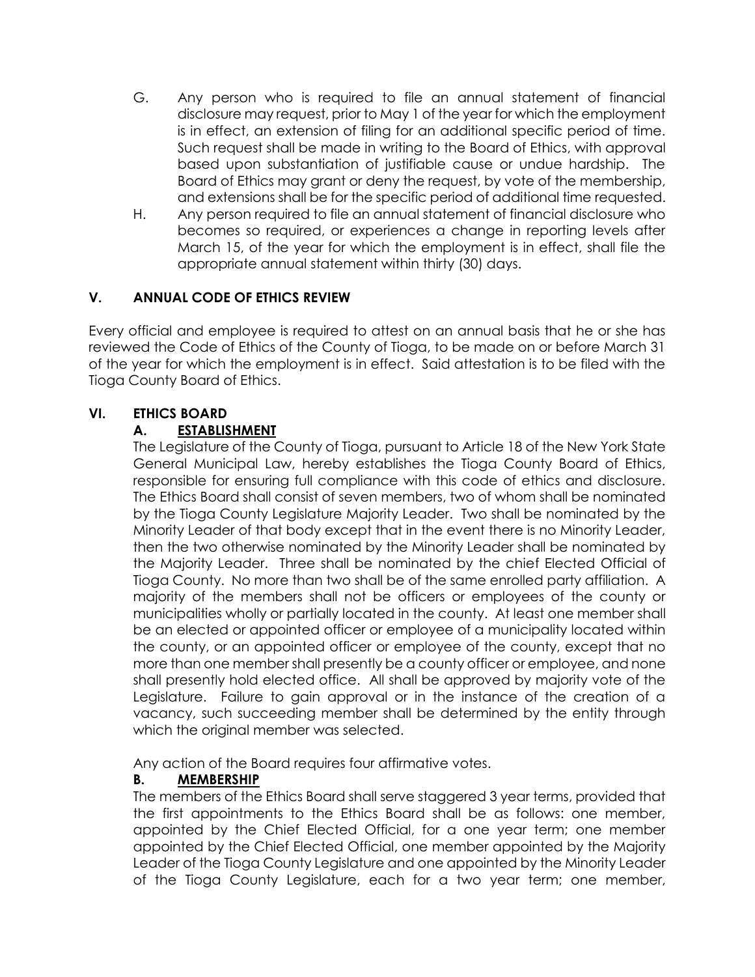- G. Any person who is required to file an annual statement of financial disclosure may request, prior to May 1 of the year for which the employment is in effect, an extension of filing for an additional specific period of time. Such request shall be made in writing to the Board of Ethics, with approval based upon substantiation of justifiable cause or undue hardship. The Board of Ethics may grant or deny the request, by vote of the membership, and extensions shall be for the specific period of additional time requested.
- H. Any person required to file an annual statement of financial disclosure who becomes so required, or experiences a change in reporting levels after March 15, of the year for which the employment is in effect, shall file the appropriate annual statement within thirty (30) days.

### **V. ANNUAL CODE OF ETHICS REVIEW**

Every official and employee is required to attest on an annual basis that he or she has reviewed the Code of Ethics of the County of Tioga, to be made on or before March 31 of the year for which the employment is in effect. Said attestation is to be filed with the Tioga County Board of Ethics.

#### **VI. ETHICS BOARD**

### **A. ESTABLISHMENT**

The Legislature of the County of Tioga, pursuant to Article 18 of the New York State General Municipal Law, hereby establishes the Tioga County Board of Ethics, responsible for ensuring full compliance with this code of ethics and disclosure. The Ethics Board shall consist of seven members, two of whom shall be nominated by the Tioga County Legislature Majority Leader. Two shall be nominated by the Minority Leader of that body except that in the event there is no Minority Leader, then the two otherwise nominated by the Minority Leader shall be nominated by the Majority Leader. Three shall be nominated by the chief Elected Official of Tioga County. No more than two shall be of the same enrolled party affiliation. A majority of the members shall not be officers or employees of the county or municipalities wholly or partially located in the county. At least one member shall be an elected or appointed officer or employee of a municipality located within the county, or an appointed officer or employee of the county, except that no more than one member shall presently be a county officer or employee, and none shall presently hold elected office. All shall be approved by majority vote of the Legislature. Failure to gain approval or in the instance of the creation of a vacancy, such succeeding member shall be determined by the entity through which the original member was selected.

Any action of the Board requires four affirmative votes.

### **B. MEMBERSHIP**

The members of the Ethics Board shall serve staggered 3 year terms, provided that the first appointments to the Ethics Board shall be as follows: one member, appointed by the Chief Elected Official, for a one year term; one member appointed by the Chief Elected Official, one member appointed by the Majority Leader of the Tioga County Legislature and one appointed by the Minority Leader of the Tioga County Legislature, each for a two year term; one member,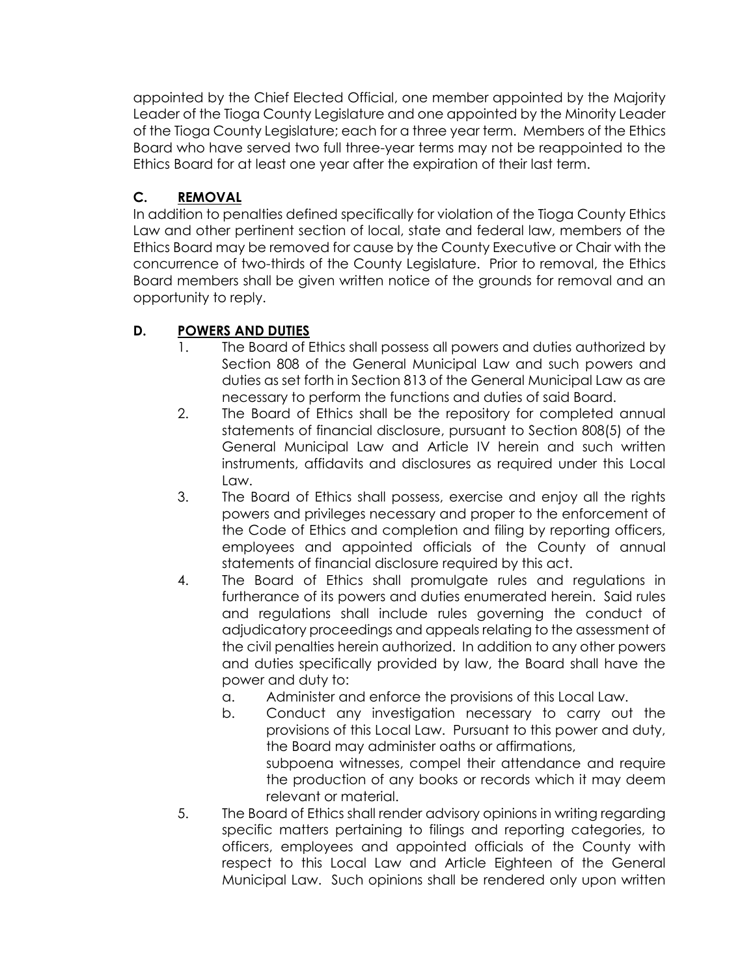appointed by the Chief Elected Official, one member appointed by the Majority Leader of the Tioga County Legislature and one appointed by the Minority Leader of the Tioga County Legislature; each for a three year term. Members of the Ethics Board who have served two full three-year terms may not be reappointed to the Ethics Board for at least one year after the expiration of their last term.

### **C. REMOVAL**

In addition to penalties defined specifically for violation of the Tioga County Ethics Law and other pertinent section of local, state and federal law, members of the Ethics Board may be removed for cause by the County Executive or Chair with the concurrence of two-thirds of the County Legislature. Prior to removal, the Ethics Board members shall be given written notice of the grounds for removal and an opportunity to reply.

## **D. POWERS AND DUTIES**

- 1. The Board of Ethics shall possess all powers and duties authorized by Section 808 of the General Municipal Law and such powers and duties as set forth in Section 813 of the General Municipal Law as are necessary to perform the functions and duties of said Board.
- 2. The Board of Ethics shall be the repository for completed annual statements of financial disclosure, pursuant to Section 808(5) of the General Municipal Law and Article IV herein and such written instruments, affidavits and disclosures as required under this Local Law.
- 3. The Board of Ethics shall possess, exercise and enjoy all the rights powers and privileges necessary and proper to the enforcement of the Code of Ethics and completion and filing by reporting officers, employees and appointed officials of the County of annual statements of financial disclosure required by this act.
- 4. The Board of Ethics shall promulgate rules and regulations in furtherance of its powers and duties enumerated herein. Said rules and regulations shall include rules governing the conduct of adjudicatory proceedings and appeals relating to the assessment of the civil penalties herein authorized. In addition to any other powers and duties specifically provided by law, the Board shall have the power and duty to:
	- a. Administer and enforce the provisions of this Local Law.
	- b. Conduct any investigation necessary to carry out the provisions of this Local Law. Pursuant to this power and duty, the Board may administer oaths or affirmations, subpoena witnesses, compel their attendance and require the production of any books or records which it may deem relevant or material.
- 5. The Board of Ethics shall render advisory opinions in writing regarding specific matters pertaining to filings and reporting categories, to officers, employees and appointed officials of the County with respect to this Local Law and Article Eighteen of the General Municipal Law. Such opinions shall be rendered only upon written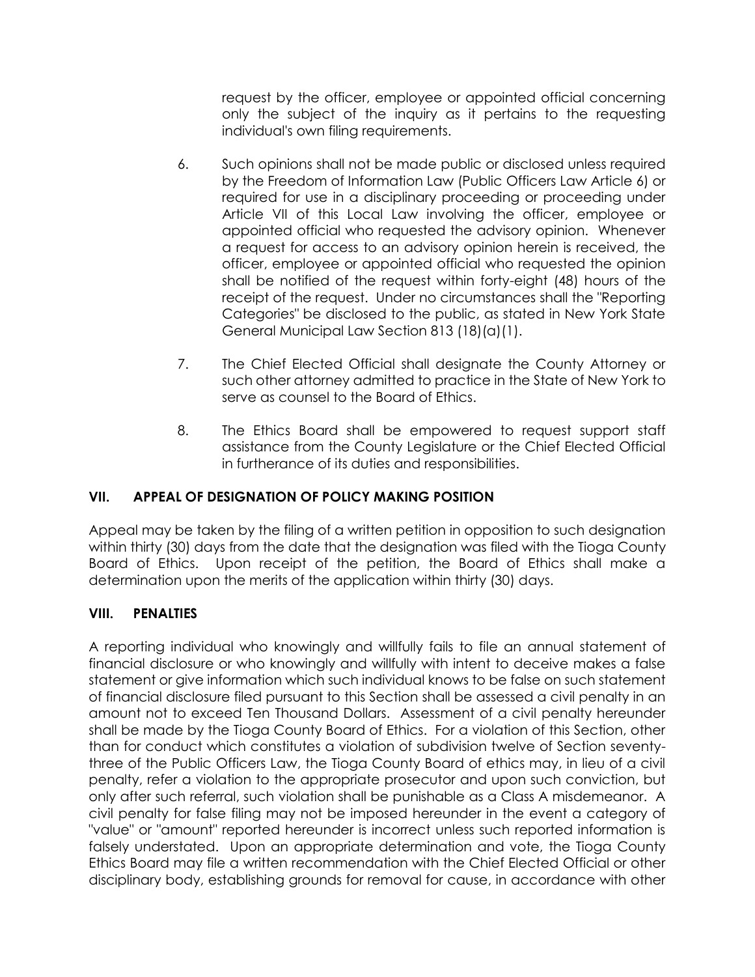request by the officer, employee or appointed official concerning only the subject of the inquiry as it pertains to the requesting individual's own filing requirements.

- 6. Such opinions shall not be made public or disclosed unless required by the Freedom of Information Law (Public Officers Law Article 6) or required for use in a disciplinary proceeding or proceeding under Article VII of this Local Law involving the officer, employee or appointed official who requested the advisory opinion. Whenever a request for access to an advisory opinion herein is received, the officer, employee or appointed official who requested the opinion shall be notified of the request within forty-eight (48) hours of the receipt of the request. Under no circumstances shall the "Reporting Categories" be disclosed to the public, as stated in New York State General Municipal Law Section 813 (18)(a)(1).
- 7. The Chief Elected Official shall designate the County Attorney or such other attorney admitted to practice in the State of New York to serve as counsel to the Board of Ethics.
- 8. The Ethics Board shall be empowered to request support staff assistance from the County Legislature or the Chief Elected Official in furtherance of its duties and responsibilities.

### **VII. APPEAL OF DESIGNATION OF POLICY MAKING POSITION**

Appeal may be taken by the filing of a written petition in opposition to such designation within thirty (30) days from the date that the designation was filed with the Tioga County Board of Ethics. Upon receipt of the petition, the Board of Ethics shall make a determination upon the merits of the application within thirty (30) days.

### **VIII. PENALTIES**

A reporting individual who knowingly and willfully fails to file an annual statement of financial disclosure or who knowingly and willfully with intent to deceive makes a false statement or give information which such individual knows to be false on such statement of financial disclosure filed pursuant to this Section shall be assessed a civil penalty in an amount not to exceed Ten Thousand Dollars. Assessment of a civil penalty hereunder shall be made by the Tioga County Board of Ethics. For a violation of this Section, other than for conduct which constitutes a violation of subdivision twelve of Section seventythree of the Public Officers Law, the Tioga County Board of ethics may, in lieu of a civil penalty, refer a violation to the appropriate prosecutor and upon such conviction, but only after such referral, such violation shall be punishable as a Class A misdemeanor. A civil penalty for false filing may not be imposed hereunder in the event a category of "value" or "amount" reported hereunder is incorrect unless such reported information is falsely understated. Upon an appropriate determination and vote, the Tioga County Ethics Board may file a written recommendation with the Chief Elected Official or other disciplinary body, establishing grounds for removal for cause, in accordance with other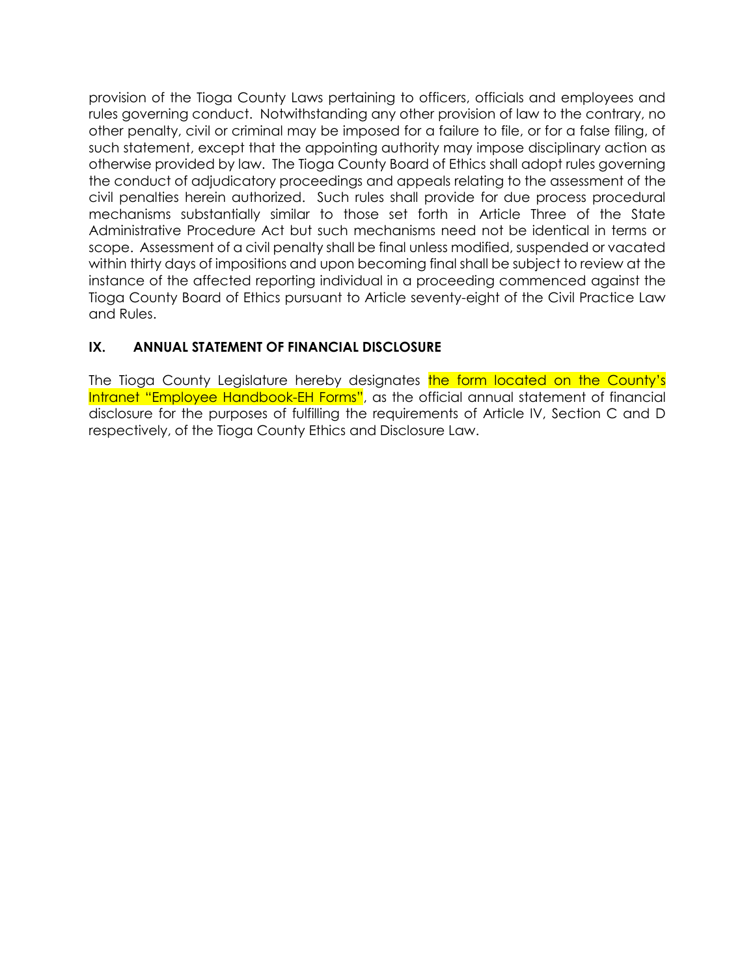provision of the Tioga County Laws pertaining to officers, officials and employees and rules governing conduct. Notwithstanding any other provision of law to the contrary, no other penalty, civil or criminal may be imposed for a failure to file, or for a false filing, of such statement, except that the appointing authority may impose disciplinary action as otherwise provided by law. The Tioga County Board of Ethics shall adopt rules governing the conduct of adjudicatory proceedings and appeals relating to the assessment of the civil penalties herein authorized. Such rules shall provide for due process procedural mechanisms substantially similar to those set forth in Article Three of the State Administrative Procedure Act but such mechanisms need not be identical in terms or scope. Assessment of a civil penalty shall be final unless modified, suspended or vacated within thirty days of impositions and upon becoming final shall be subject to review at the instance of the affected reporting individual in a proceeding commenced against the Tioga County Board of Ethics pursuant to Article seventy-eight of the Civil Practice Law and Rules.

### **IX. ANNUAL STATEMENT OF FINANCIAL DISCLOSURE**

The Tioga County Legislature hereby designates the form located on the County's Intranet "Employee Handbook-EH Forms", as the official annual statement of financial disclosure for the purposes of fulfilling the requirements of Article IV, Section C and D respectively, of the Tioga County Ethics and Disclosure Law.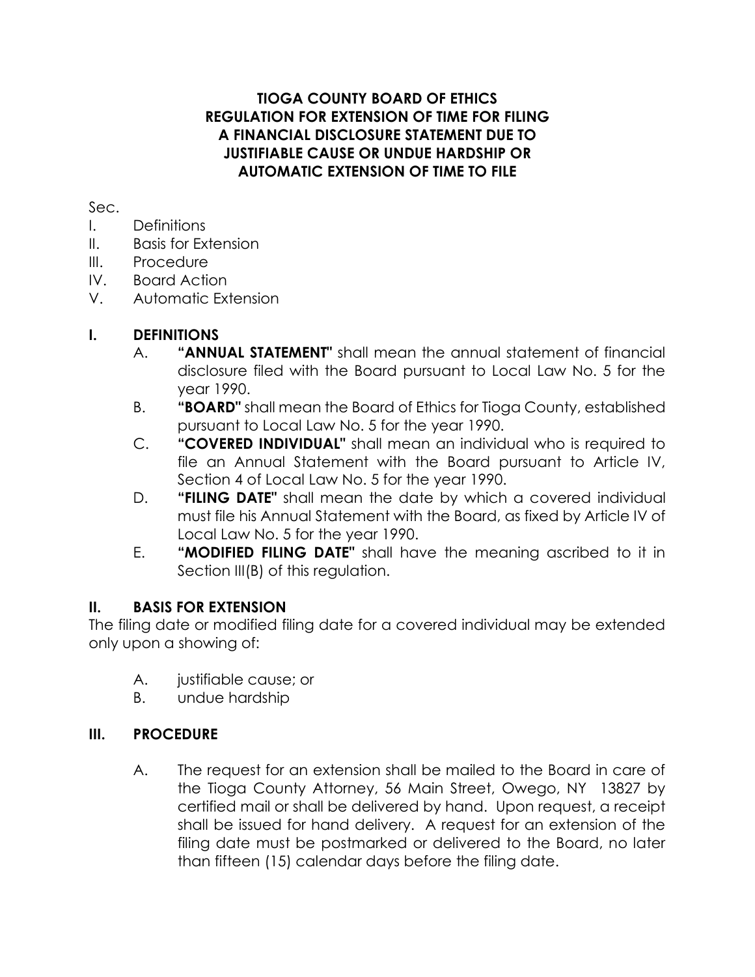### **TIOGA COUNTY BOARD OF ETHICS REGULATION FOR EXTENSION OF TIME FOR FILING A FINANCIAL DISCLOSURE STATEMENT DUE TO JUSTIFIABLE CAUSE OR UNDUE HARDSHIP OR AUTOMATIC EXTENSION OF TIME TO FILE**

### Sec.

- I. Definitions
- II. Basis for Extension
- III. Procedure
- IV. Board Action
- V. Automatic Extension

# **I. DEFINITIONS**

- A. **"ANNUAL STATEMENT"** shall mean the annual statement of financial disclosure filed with the Board pursuant to Local Law No. 5 for the year 1990.
- B. **"BOARD"** shall mean the Board of Ethics for Tioga County, established pursuant to Local Law No. 5 for the year 1990.
- C. **"COVERED INDIVIDUAL"** shall mean an individual who is required to file an Annual Statement with the Board pursuant to Article IV, Section 4 of Local Law No. 5 for the year 1990.
- D. **"FILING DATE"** shall mean the date by which a covered individual must file his Annual Statement with the Board, as fixed by Article IV of Local Law No. 5 for the year 1990.
- E. **"MODIFIED FILING DATE"** shall have the meaning ascribed to it in Section III(B) of this regulation.

## **II. BASIS FOR EXTENSION**

The filing date or modified filing date for a covered individual may be extended only upon a showing of:

- A. justifiable cause; or
- B. undue hardship

## **III. PROCEDURE**

A. The request for an extension shall be mailed to the Board in care of the Tioga County Attorney, 56 Main Street, Owego, NY 13827 by certified mail or shall be delivered by hand. Upon request, a receipt shall be issued for hand delivery. A request for an extension of the filing date must be postmarked or delivered to the Board, no later than fifteen (15) calendar days before the filing date.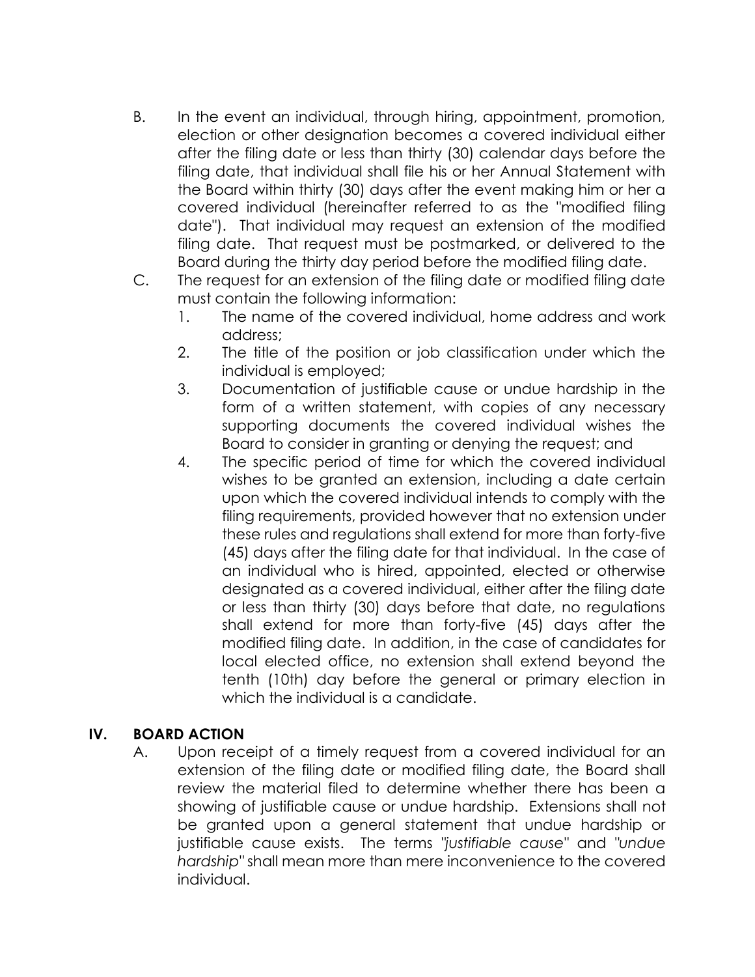- B. In the event an individual, through hiring, appointment, promotion, election or other designation becomes a covered individual either after the filing date or less than thirty (30) calendar days before the filing date, that individual shall file his or her Annual Statement with the Board within thirty (30) days after the event making him or her a covered individual (hereinafter referred to as the "modified filing date"). That individual may request an extension of the modified filing date. That request must be postmarked, or delivered to the Board during the thirty day period before the modified filing date.
- C. The request for an extension of the filing date or modified filing date must contain the following information:
	- 1. The name of the covered individual, home address and work address;
	- 2. The title of the position or job classification under which the individual is employed;
	- 3. Documentation of justifiable cause or undue hardship in the form of a written statement, with copies of any necessary supporting documents the covered individual wishes the Board to consider in granting or denying the request; and
	- 4. The specific period of time for which the covered individual wishes to be granted an extension, including a date certain upon which the covered individual intends to comply with the filing requirements, provided however that no extension under these rules and regulations shall extend for more than forty-five (45) days after the filing date for that individual. In the case of an individual who is hired, appointed, elected or otherwise designated as a covered individual, either after the filing date or less than thirty (30) days before that date, no regulations shall extend for more than forty-five (45) days after the modified filing date. In addition, in the case of candidates for local elected office, no extension shall extend beyond the tenth (10th) day before the general or primary election in which the individual is a candidate.

### **IV. BOARD ACTION**

A. Upon receipt of a timely request from a covered individual for an extension of the filing date or modified filing date, the Board shall review the material filed to determine whether there has been a showing of justifiable cause or undue hardship. Extensions shall not be granted upon a general statement that undue hardship or justifiable cause exists. The terms *"justifiable cause"* and *"undue hardship"* shall mean more than mere inconvenience to the covered individual.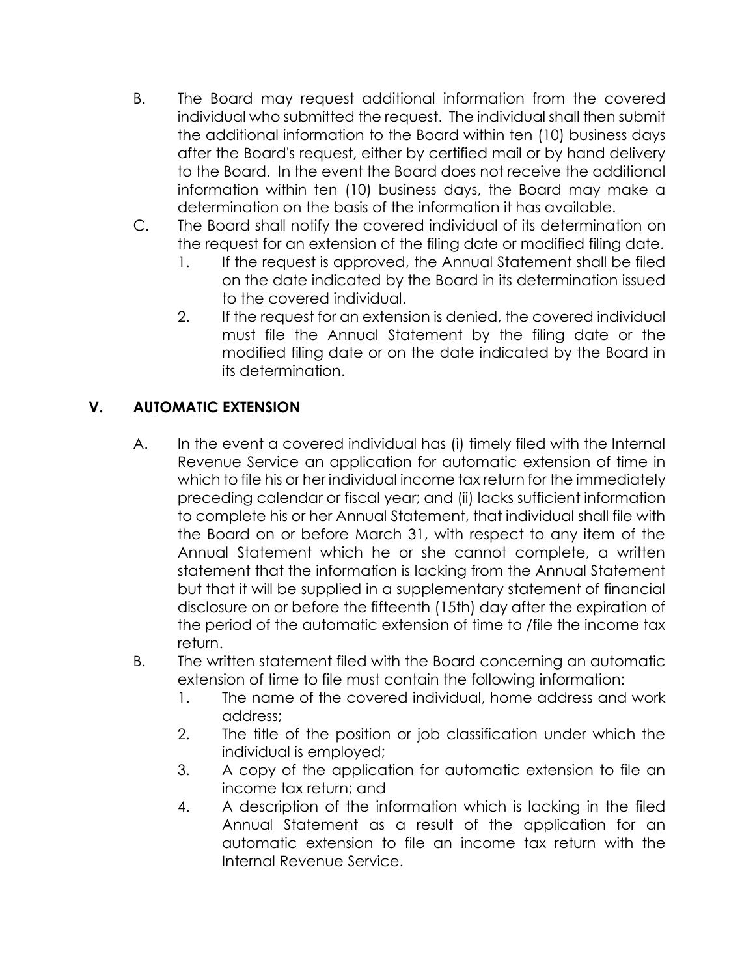- B. The Board may request additional information from the covered individual who submitted the request. The individual shall then submit the additional information to the Board within ten (10) business days after the Board's request, either by certified mail or by hand delivery to the Board. In the event the Board does not receive the additional information within ten (10) business days, the Board may make a determination on the basis of the information it has available.
- C. The Board shall notify the covered individual of its determination on the request for an extension of the filing date or modified filing date.
	- 1. If the request is approved, the Annual Statement shall be filed on the date indicated by the Board in its determination issued to the covered individual.
	- 2. If the request for an extension is denied, the covered individual must file the Annual Statement by the filing date or the modified filing date or on the date indicated by the Board in its determination.

# **V. AUTOMATIC EXTENSION**

- A. In the event a covered individual has (i) timely filed with the Internal Revenue Service an application for automatic extension of time in which to file his or her individual income tax return for the immediately preceding calendar or fiscal year; and (ii) lacks sufficient information to complete his or her Annual Statement, that individual shall file with the Board on or before March 31, with respect to any item of the Annual Statement which he or she cannot complete, a written statement that the information is lacking from the Annual Statement but that it will be supplied in a supplementary statement of financial disclosure on or before the fifteenth (15th) day after the expiration of the period of the automatic extension of time to /file the income tax return.
- B. The written statement filed with the Board concerning an automatic extension of time to file must contain the following information:
	- 1. The name of the covered individual, home address and work address;
	- 2. The title of the position or job classification under which the individual is employed;
	- 3. A copy of the application for automatic extension to file an income tax return; and
	- 4. A description of the information which is lacking in the filed Annual Statement as a result of the application for an automatic extension to file an income tax return with the Internal Revenue Service.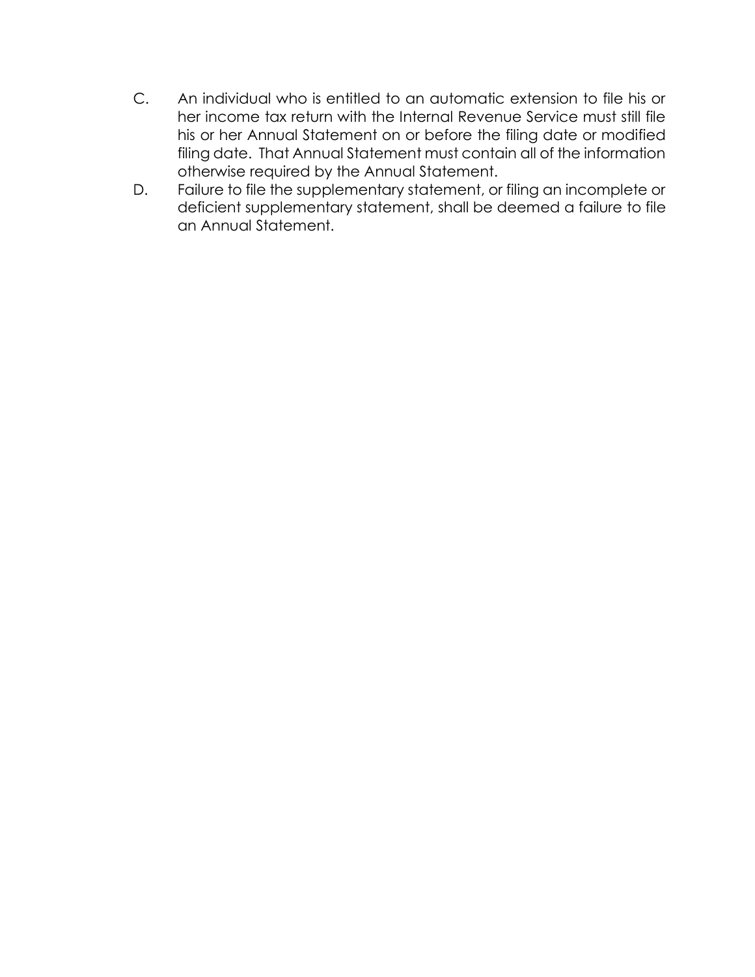- C. An individual who is entitled to an automatic extension to file his or her income tax return with the Internal Revenue Service must still file his or her Annual Statement on or before the filing date or modified filing date. That Annual Statement must contain all of the information otherwise required by the Annual Statement.
- D. Failure to file the supplementary statement, or filing an incomplete or deficient supplementary statement, shall be deemed a failure to file an Annual Statement.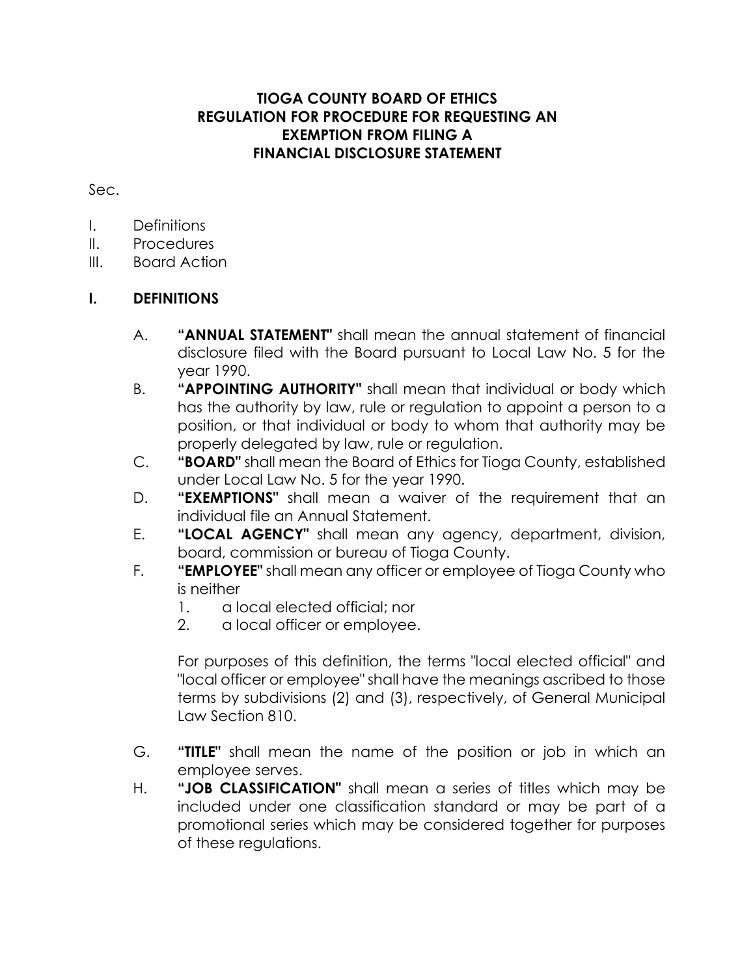### **TIOGA COUNTY BOARD OF ETHICS REGULATION FOR PROCEDURE FOR REQUESTING AN EXEMPTION FROM FILING A FINANCIAL DISCLOSURE STATEMENT**

Sec.

- I. Definitions
- II. Procedures
- III. Board Action

## **I. DEFINITIONS**

- A. **"ANNUAL STATEMENT"** shall mean the annual statement of financial disclosure filed with the Board pursuant to Local Law No. 5 for the year 1990.
- B. **"APPOINTING AUTHORITY"** shall mean that individual or body which has the authority by law, rule or regulation to appoint a person to a position, or that individual or body to whom that authority may be properly delegated by law, rule or regulation.
- C. **"BOARD"** shall mean the Board of Ethics for Tioga County, established under Local Law No. 5 for the year 1990.
- D. **"EXEMPTIONS"** shall mean a waiver of the requirement that an individual file an Annual Statement.
- E. **"LOCAL AGENCY"** shall mean any agency, department, division, board, commission or bureau of Tioga County.
- F. **"EMPLOYEE"** shall mean any officer or employee of Tioga County who is neither
	- 1. a local elected official; nor
	- 2. a local officer or employee.

For purposes of this definition, the terms "local elected official" and "local officer or employee" shall have the meanings ascribed to those terms by subdivisions (2) and (3), respectively, of General Municipal Law Section 810.

- G. **"TITLE"** shall mean the name of the position or job in which an employee serves.
- H. **"JOB CLASSIFICATION"** shall mean a series of titles which may be included under one classification standard or may be part of a promotional series which may be considered together for purposes of these regulations.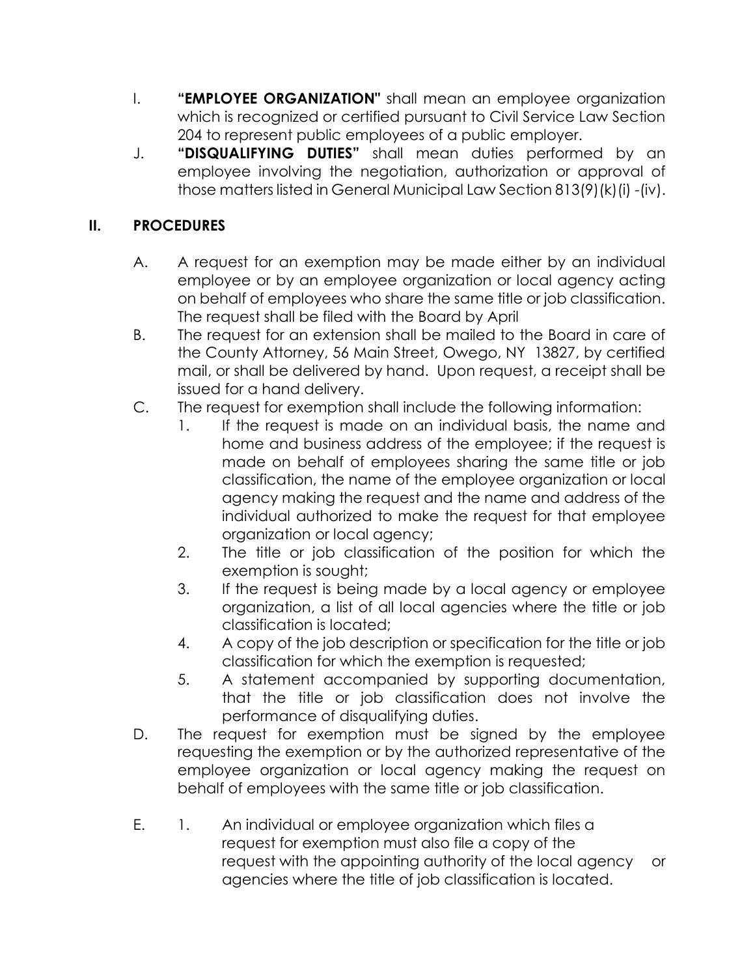- I. **"EMPLOYEE ORGANIZATION"** shall mean an employee organization which is recognized or certified pursuant to Civil Service Law Section 204 to represent public employees of a public employer.
- J. **"DISQUALIFYING DUTIES"** shall mean duties performed by an employee involving the negotiation, authorization or approval of those matters listed in General Municipal Law Section 813(9)(k)(i) -(iv).

# **II. PROCEDURES**

- A. A request for an exemption may be made either by an individual employee or by an employee organization or local agency acting on behalf of employees who share the same title or job classification. The request shall be filed with the Board by April
- B. The request for an extension shall be mailed to the Board in care of the County Attorney, 56 Main Street, Owego, NY 13827, by certified mail, or shall be delivered by hand. Upon request, a receipt shall be issued for a hand delivery.
- C. The request for exemption shall include the following information:
	- 1. If the request is made on an individual basis, the name and home and business address of the employee; if the request is made on behalf of employees sharing the same title or job classification, the name of the employee organization or local agency making the request and the name and address of the individual authorized to make the request for that employee organization or local agency;
	- 2. The title or job classification of the position for which the exemption is sought;
	- 3. If the request is being made by a local agency or employee organization, a list of all local agencies where the title or job classification is located;
	- 4. A copy of the job description or specification for the title or job classification for which the exemption is requested;
	- 5. A statement accompanied by supporting documentation, that the title or job classification does not involve the performance of disqualifying duties.
- D. The request for exemption must be signed by the employee requesting the exemption or by the authorized representative of the employee organization or local agency making the request on behalf of employees with the same title or job classification.
- E. 1. An individual or employee organization which files a request for exemption must also file a copy of the request with the appointing authority of the local agency or agencies where the title of job classification is located.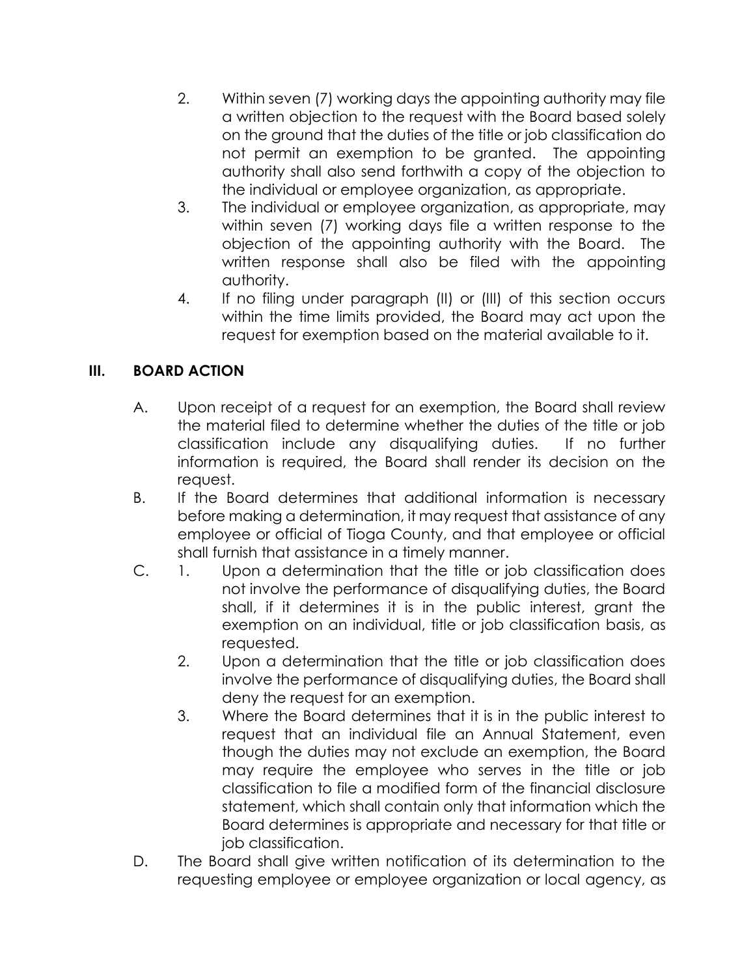- 2. Within seven (7) working days the appointing authority may file a written objection to the request with the Board based solely on the ground that the duties of the title or job classification do not permit an exemption to be granted. The appointing authority shall also send forthwith a copy of the objection to the individual or employee organization, as appropriate.
- 3. The individual or employee organization, as appropriate, may within seven (7) working days file a written response to the objection of the appointing authority with the Board. The written response shall also be filed with the appointing authority.
- 4. If no filing under paragraph (II) or (III) of this section occurs within the time limits provided, the Board may act upon the request for exemption based on the material available to it.

# **III. BOARD ACTION**

- A. Upon receipt of a request for an exemption, the Board shall review the material filed to determine whether the duties of the title or job classification include any disqualifying duties. If no further information is required, the Board shall render its decision on the request.
- B. If the Board determines that additional information is necessary before making a determination, it may request that assistance of any employee or official of Tioga County, and that employee or official shall furnish that assistance in a timely manner.
- C. 1. Upon a determination that the title or job classification does not involve the performance of disqualifying duties, the Board shall, if it determines it is in the public interest, grant the exemption on an individual, title or job classification basis, as requested.
	- 2. Upon a determination that the title or job classification does involve the performance of disqualifying duties, the Board shall deny the request for an exemption.
	- 3. Where the Board determines that it is in the public interest to request that an individual file an Annual Statement, even though the duties may not exclude an exemption, the Board may require the employee who serves in the title or job classification to file a modified form of the financial disclosure statement, which shall contain only that information which the Board determines is appropriate and necessary for that title or job classification.
- D. The Board shall give written notification of its determination to the requesting employee or employee organization or local agency, as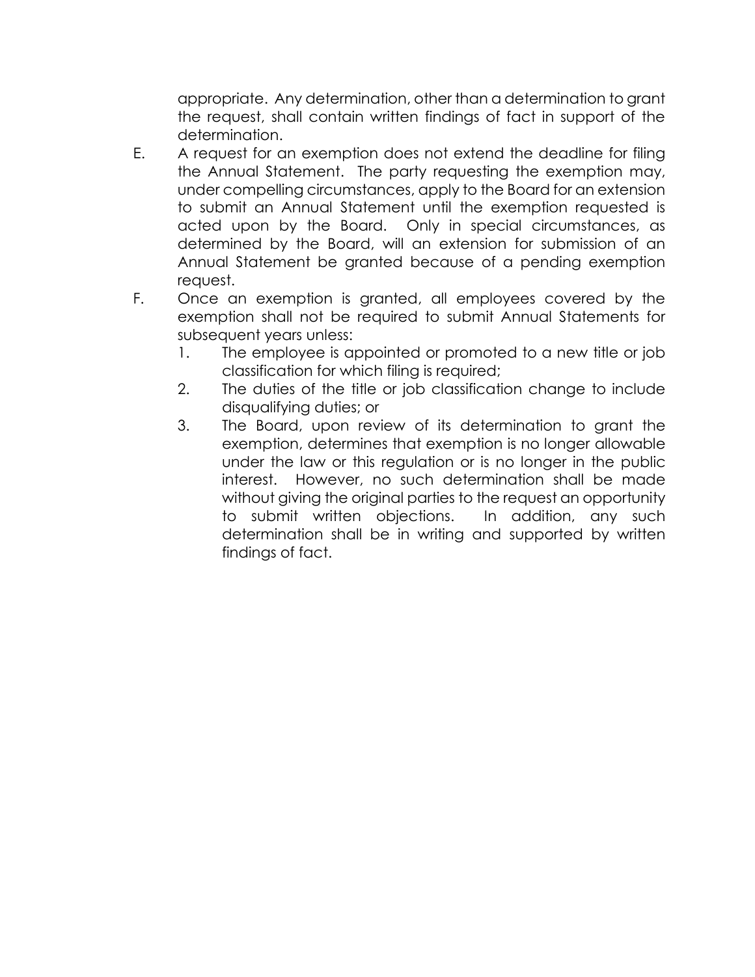appropriate. Any determination, other than a determination to grant the request, shall contain written findings of fact in support of the determination.

- E. A request for an exemption does not extend the deadline for filing the Annual Statement. The party requesting the exemption may, under compelling circumstances, apply to the Board for an extension to submit an Annual Statement until the exemption requested is acted upon by the Board. Only in special circumstances, as determined by the Board, will an extension for submission of an Annual Statement be granted because of a pending exemption request.
- F. Once an exemption is granted, all employees covered by the exemption shall not be required to submit Annual Statements for subsequent years unless:
	- 1. The employee is appointed or promoted to a new title or job classification for which filing is required;
	- 2. The duties of the title or job classification change to include disqualifying duties; or
	- 3. The Board, upon review of its determination to grant the exemption, determines that exemption is no longer allowable under the law or this regulation or is no longer in the public interest. However, no such determination shall be made without giving the original parties to the request an opportunity to submit written objections. In addition, any such determination shall be in writing and supported by written findings of fact.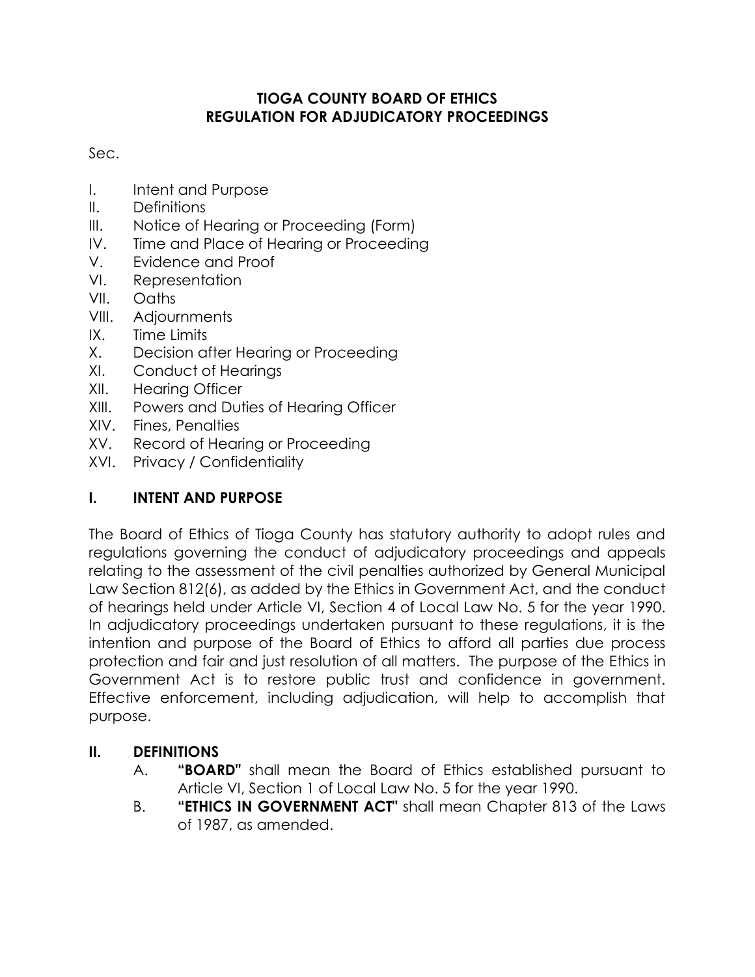## **TIOGA COUNTY BOARD OF ETHICS REGULATION FOR ADJUDICATORY PROCEEDINGS**

Sec.

- I. Intent and Purpose
- II. Definitions
- III. Notice of Hearing or Proceeding (Form)
- IV. Time and Place of Hearing or Proceeding
- V. Evidence and Proof
- VI. Representation
- VII. Oaths
- VIII. Adjournments
- IX. Time Limits
- X. Decision after Hearing or Proceeding
- XI. Conduct of Hearings
- XII. Hearing Officer
- XIII. Powers and Duties of Hearing Officer
- XIV. Fines, Penalties
- XV. Record of Hearing or Proceeding
- XVI. Privacy / Confidentiality

# **I. INTENT AND PURPOSE**

The Board of Ethics of Tioga County has statutory authority to adopt rules and regulations governing the conduct of adjudicatory proceedings and appeals relating to the assessment of the civil penalties authorized by General Municipal Law Section 812(6), as added by the Ethics in Government Act, and the conduct of hearings held under Article VI, Section 4 of Local Law No. 5 for the year 1990. In adjudicatory proceedings undertaken pursuant to these regulations, it is the intention and purpose of the Board of Ethics to afford all parties due process protection and fair and just resolution of all matters. The purpose of the Ethics in Government Act is to restore public trust and confidence in government. Effective enforcement, including adjudication, will help to accomplish that purpose.

# **II. DEFINITIONS**

- A. **"BOARD"** shall mean the Board of Ethics established pursuant to Article VI, Section 1 of Local Law No. 5 for the year 1990.
- B. **"ETHICS IN GOVERNMENT ACT"** shall mean Chapter 813 of the Laws of 1987, as amended.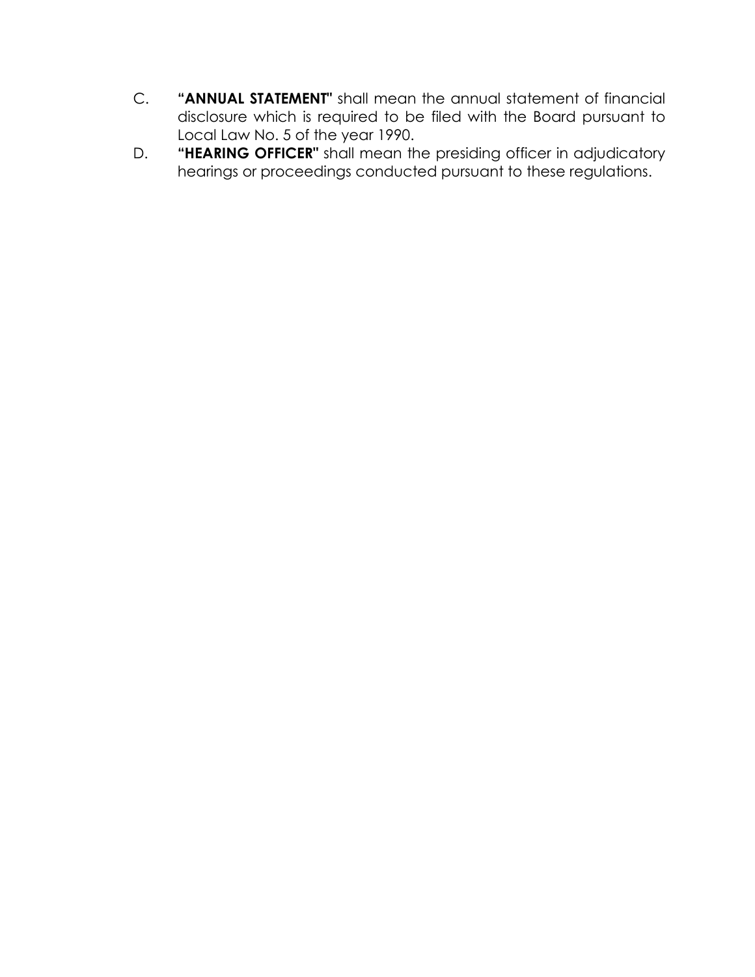- C. **"ANNUAL STATEMENT"** shall mean the annual statement of financial disclosure which is required to be filed with the Board pursuant to Local Law No. 5 of the year 1990.
- D. **"HEARING OFFICER"** shall mean the presiding officer in adjudicatory hearings or proceedings conducted pursuant to these regulations.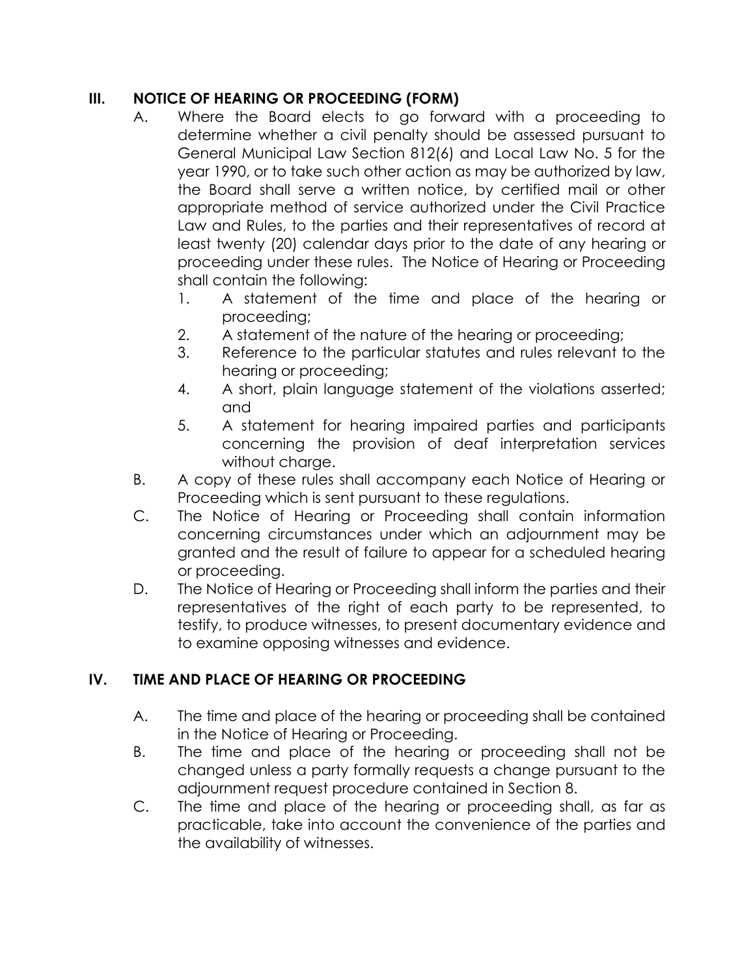## **III. NOTICE OF HEARING OR PROCEEDING (FORM)**

- A. Where the Board elects to go forward with a proceeding to determine whether a civil penalty should be assessed pursuant to General Municipal Law Section 812(6) and Local Law No. 5 for the year 1990, or to take such other action as may be authorized by law, the Board shall serve a written notice, by certified mail or other appropriate method of service authorized under the Civil Practice Law and Rules, to the parties and their representatives of record at least twenty (20) calendar days prior to the date of any hearing or proceeding under these rules. The Notice of Hearing or Proceeding shall contain the following:
	- 1. A statement of the time and place of the hearing or proceeding;
	- 2. A statement of the nature of the hearing or proceeding;
	- 3. Reference to the particular statutes and rules relevant to the hearing or proceeding;
	- 4. A short, plain language statement of the violations asserted; and
	- 5. A statement for hearing impaired parties and participants concerning the provision of deaf interpretation services without charge.
- B. A copy of these rules shall accompany each Notice of Hearing or Proceeding which is sent pursuant to these regulations.
- C. The Notice of Hearing or Proceeding shall contain information concerning circumstances under which an adjournment may be granted and the result of failure to appear for a scheduled hearing or proceeding.
- D. The Notice of Hearing or Proceeding shall inform the parties and their representatives of the right of each party to be represented, to testify, to produce witnesses, to present documentary evidence and to examine opposing witnesses and evidence.

## **IV. TIME AND PLACE OF HEARING OR PROCEEDING**

- A. The time and place of the hearing or proceeding shall be contained in the Notice of Hearing or Proceeding.
- B. The time and place of the hearing or proceeding shall not be changed unless a party formally requests a change pursuant to the adjournment request procedure contained in Section 8.
- C. The time and place of the hearing or proceeding shall, as far as practicable, take into account the convenience of the parties and the availability of witnesses.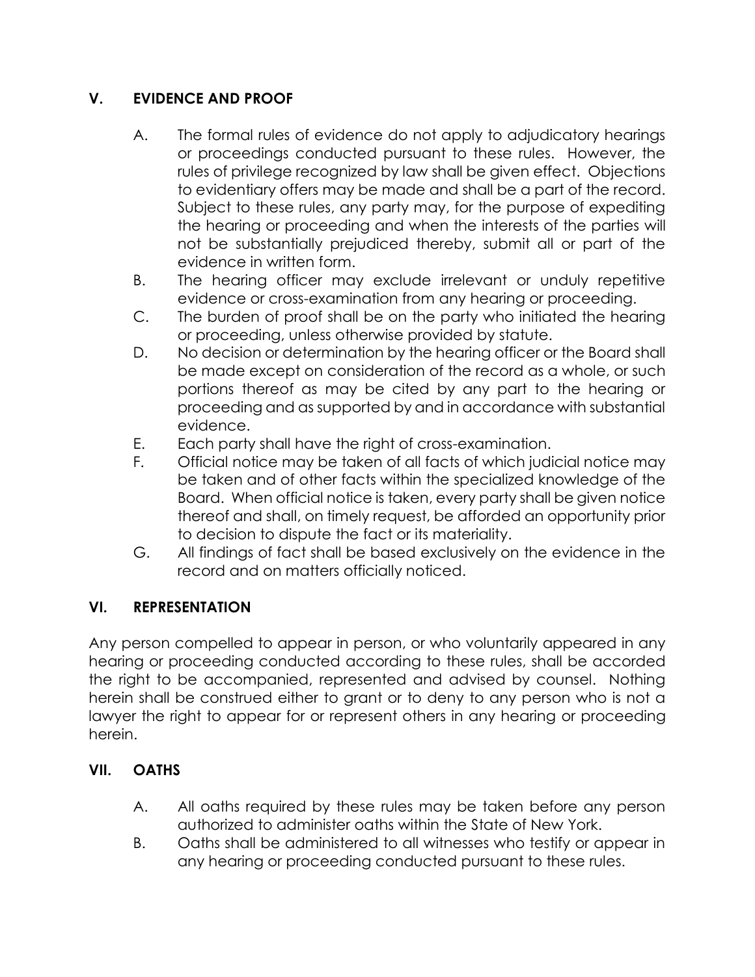# **V. EVIDENCE AND PROOF**

- A. The formal rules of evidence do not apply to adjudicatory hearings or proceedings conducted pursuant to these rules. However, the rules of privilege recognized by law shall be given effect. Objections to evidentiary offers may be made and shall be a part of the record. Subject to these rules, any party may, for the purpose of expediting the hearing or proceeding and when the interests of the parties will not be substantially prejudiced thereby, submit all or part of the evidence in written form.
- B. The hearing officer may exclude irrelevant or unduly repetitive evidence or cross-examination from any hearing or proceeding.
- C. The burden of proof shall be on the party who initiated the hearing or proceeding, unless otherwise provided by statute.
- D. No decision or determination by the hearing officer or the Board shall be made except on consideration of the record as a whole, or such portions thereof as may be cited by any part to the hearing or proceeding and as supported by and in accordance with substantial evidence.
- E. Each party shall have the right of cross-examination.
- F. Official notice may be taken of all facts of which judicial notice may be taken and of other facts within the specialized knowledge of the Board. When official notice is taken, every party shall be given notice thereof and shall, on timely request, be afforded an opportunity prior to decision to dispute the fact or its materiality.
- G. All findings of fact shall be based exclusively on the evidence in the record and on matters officially noticed.

## **VI. REPRESENTATION**

Any person compelled to appear in person, or who voluntarily appeared in any hearing or proceeding conducted according to these rules, shall be accorded the right to be accompanied, represented and advised by counsel. Nothing herein shall be construed either to grant or to deny to any person who is not a lawyer the right to appear for or represent others in any hearing or proceeding herein.

## **VII. OATHS**

- A. All oaths required by these rules may be taken before any person authorized to administer oaths within the State of New York.
- B. Oaths shall be administered to all witnesses who testify or appear in any hearing or proceeding conducted pursuant to these rules.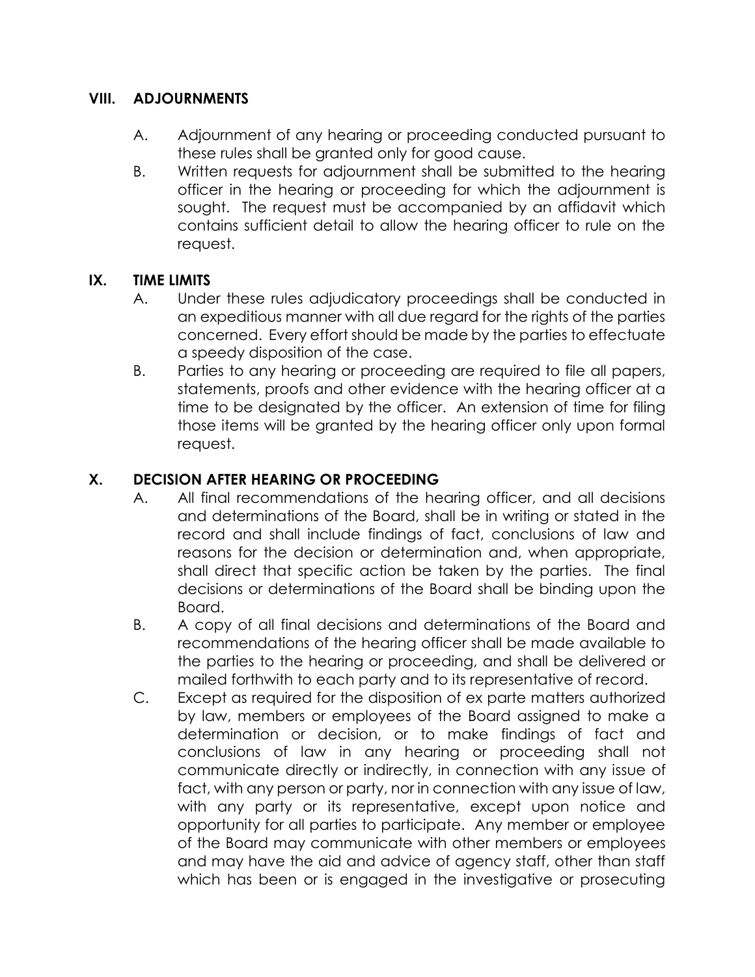## **VIII. ADJOURNMENTS**

- A. Adjournment of any hearing or proceeding conducted pursuant to these rules shall be granted only for good cause.
- B. Written requests for adjournment shall be submitted to the hearing officer in the hearing or proceeding for which the adjournment is sought. The request must be accompanied by an affidavit which contains sufficient detail to allow the hearing officer to rule on the request.

## **IX. TIME LIMITS**

- A. Under these rules adjudicatory proceedings shall be conducted in an expeditious manner with all due regard for the rights of the parties concerned. Every effort should be made by the parties to effectuate a speedy disposition of the case.
- B. Parties to any hearing or proceeding are required to file all papers, statements, proofs and other evidence with the hearing officer at a time to be designated by the officer. An extension of time for filing those items will be granted by the hearing officer only upon formal request.

## **X. DECISION AFTER HEARING OR PROCEEDING**

- A. All final recommendations of the hearing officer, and all decisions and determinations of the Board, shall be in writing or stated in the record and shall include findings of fact, conclusions of law and reasons for the decision or determination and, when appropriate, shall direct that specific action be taken by the parties. The final decisions or determinations of the Board shall be binding upon the Board.
- B. A copy of all final decisions and determinations of the Board and recommendations of the hearing officer shall be made available to the parties to the hearing or proceeding, and shall be delivered or mailed forthwith to each party and to its representative of record.
- C. Except as required for the disposition of ex parte matters authorized by law, members or employees of the Board assigned to make a determination or decision, or to make findings of fact and conclusions of law in any hearing or proceeding shall not communicate directly or indirectly, in connection with any issue of fact, with any person or party, nor in connection with any issue of law, with any party or its representative, except upon notice and opportunity for all parties to participate. Any member or employee of the Board may communicate with other members or employees and may have the aid and advice of agency staff, other than staff which has been or is engaged in the investigative or prosecuting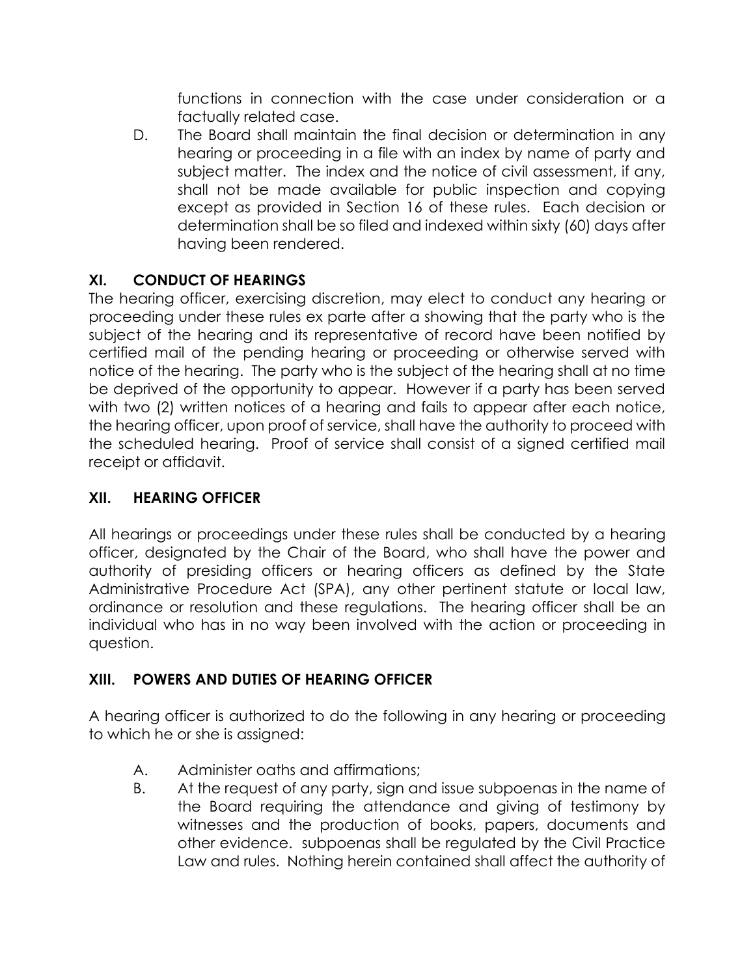functions in connection with the case under consideration or a factually related case.

D. The Board shall maintain the final decision or determination in any hearing or proceeding in a file with an index by name of party and subject matter. The index and the notice of civil assessment, if any, shall not be made available for public inspection and copying except as provided in Section 16 of these rules. Each decision or determination shall be so filed and indexed within sixty (60) days after having been rendered.

## **XI. CONDUCT OF HEARINGS**

The hearing officer, exercising discretion, may elect to conduct any hearing or proceeding under these rules ex parte after a showing that the party who is the subject of the hearing and its representative of record have been notified by certified mail of the pending hearing or proceeding or otherwise served with notice of the hearing. The party who is the subject of the hearing shall at no time be deprived of the opportunity to appear. However if a party has been served with two (2) written notices of a hearing and fails to appear after each notice, the hearing officer, upon proof of service, shall have the authority to proceed with the scheduled hearing. Proof of service shall consist of a signed certified mail receipt or affidavit.

# **XII. HEARING OFFICER**

All hearings or proceedings under these rules shall be conducted by a hearing officer, designated by the Chair of the Board, who shall have the power and authority of presiding officers or hearing officers as defined by the State Administrative Procedure Act (SPA), any other pertinent statute or local law, ordinance or resolution and these regulations. The hearing officer shall be an individual who has in no way been involved with the action or proceeding in question.

# **XIII. POWERS AND DUTIES OF HEARING OFFICER**

A hearing officer is authorized to do the following in any hearing or proceeding to which he or she is assigned:

- A. Administer oaths and affirmations;
- B. At the request of any party, sign and issue subpoenas in the name of the Board requiring the attendance and giving of testimony by witnesses and the production of books, papers, documents and other evidence. subpoenas shall be regulated by the Civil Practice Law and rules. Nothing herein contained shall affect the authority of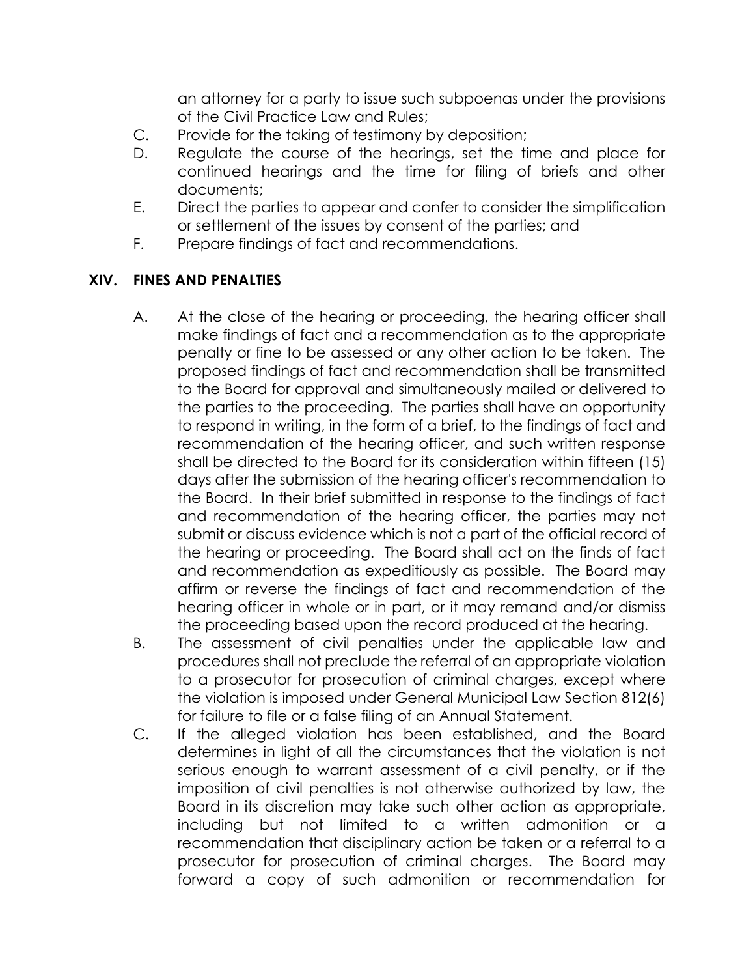an attorney for a party to issue such subpoenas under the provisions of the Civil Practice Law and Rules;

- C. Provide for the taking of testimony by deposition;
- D. Regulate the course of the hearings, set the time and place for continued hearings and the time for filing of briefs and other documents;
- E. Direct the parties to appear and confer to consider the simplification or settlement of the issues by consent of the parties; and
- F. Prepare findings of fact and recommendations.

## **XIV. FINES AND PENALTIES**

- A. At the close of the hearing or proceeding, the hearing officer shall make findings of fact and a recommendation as to the appropriate penalty or fine to be assessed or any other action to be taken. The proposed findings of fact and recommendation shall be transmitted to the Board for approval and simultaneously mailed or delivered to the parties to the proceeding. The parties shall have an opportunity to respond in writing, in the form of a brief, to the findings of fact and recommendation of the hearing officer, and such written response shall be directed to the Board for its consideration within fifteen (15) days after the submission of the hearing officer's recommendation to the Board. In their brief submitted in response to the findings of fact and recommendation of the hearing officer, the parties may not submit or discuss evidence which is not a part of the official record of the hearing or proceeding. The Board shall act on the finds of fact and recommendation as expeditiously as possible. The Board may affirm or reverse the findings of fact and recommendation of the hearing officer in whole or in part, or it may remand and/or dismiss the proceeding based upon the record produced at the hearing.
- B. The assessment of civil penalties under the applicable law and procedures shall not preclude the referral of an appropriate violation to a prosecutor for prosecution of criminal charges, except where the violation is imposed under General Municipal Law Section 812(6) for failure to file or a false filing of an Annual Statement.
- C. If the alleged violation has been established, and the Board determines in light of all the circumstances that the violation is not serious enough to warrant assessment of a civil penalty, or if the imposition of civil penalties is not otherwise authorized by law, the Board in its discretion may take such other action as appropriate, including but not limited to a written admonition or a recommendation that disciplinary action be taken or a referral to a prosecutor for prosecution of criminal charges. The Board may forward a copy of such admonition or recommendation for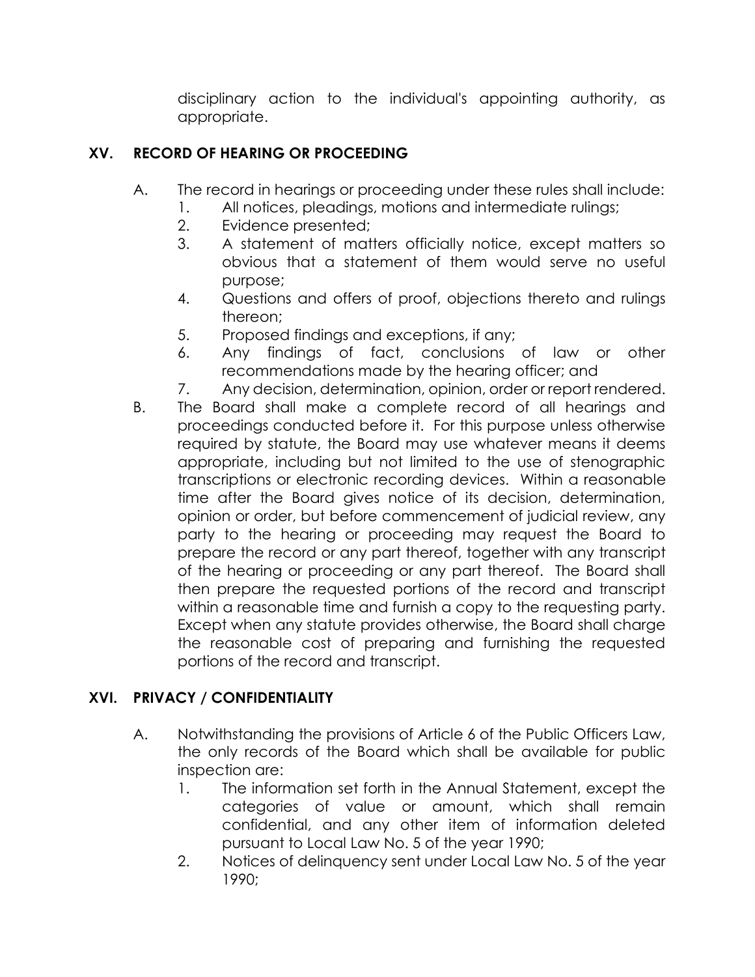disciplinary action to the individual's appointing authority, as appropriate.

## **XV. RECORD OF HEARING OR PROCEEDING**

- A. The record in hearings or proceeding under these rules shall include:
	- 1. All notices, pleadings, motions and intermediate rulings;
	- 2. Evidence presented;
	- 3. A statement of matters officially notice, except matters so obvious that a statement of them would serve no useful purpose;
	- 4. Questions and offers of proof, objections thereto and rulings thereon;
	- 5. Proposed findings and exceptions, if any;
	- 6. Any findings of fact, conclusions of law or other recommendations made by the hearing officer; and
	- 7. Any decision, determination, opinion, order or report rendered.
- B. The Board shall make a complete record of all hearings and proceedings conducted before it. For this purpose unless otherwise required by statute, the Board may use whatever means it deems appropriate, including but not limited to the use of stenographic transcriptions or electronic recording devices. Within a reasonable time after the Board gives notice of its decision, determination, opinion or order, but before commencement of judicial review, any party to the hearing or proceeding may request the Board to prepare the record or any part thereof, together with any transcript of the hearing or proceeding or any part thereof. The Board shall then prepare the requested portions of the record and transcript within a reasonable time and furnish a copy to the requesting party. Except when any statute provides otherwise, the Board shall charge the reasonable cost of preparing and furnishing the requested portions of the record and transcript.

### **XVI. PRIVACY / CONFIDENTIALITY**

- A. Notwithstanding the provisions of Article 6 of the Public Officers Law, the only records of the Board which shall be available for public inspection are:
	- 1. The information set forth in the Annual Statement, except the categories of value or amount, which shall remain confidential, and any other item of information deleted pursuant to Local Law No. 5 of the year 1990;
	- 2. Notices of delinquency sent under Local Law No. 5 of the year 1990;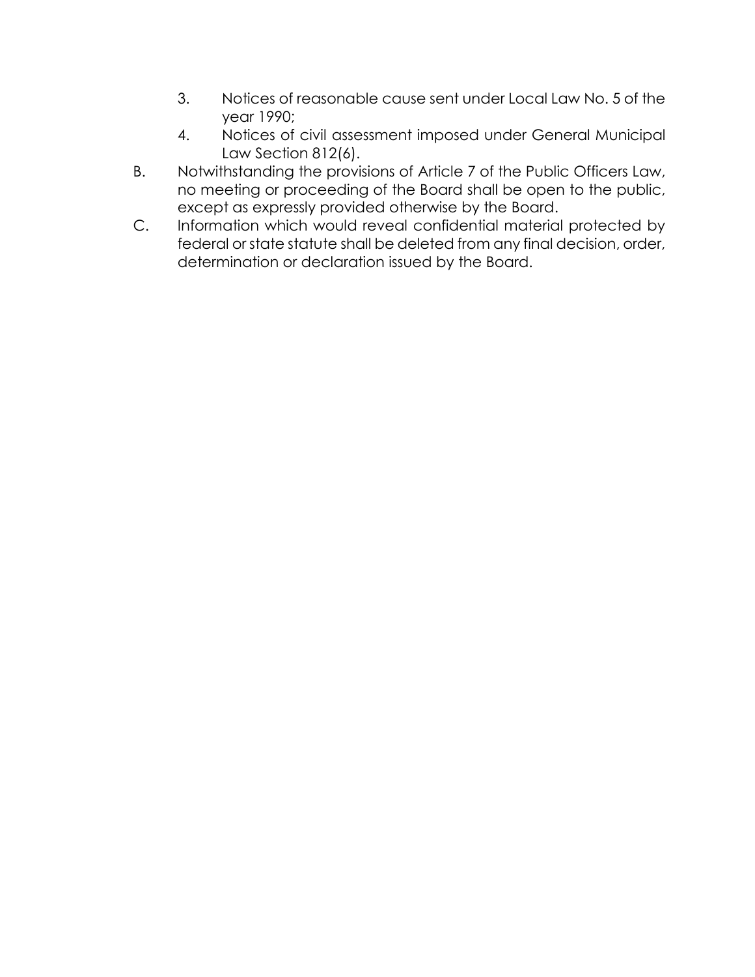- 3. Notices of reasonable cause sent under Local Law No. 5 of the year 1990;
- 4. Notices of civil assessment imposed under General Municipal Law Section 812(6).
- B. Notwithstanding the provisions of Article 7 of the Public Officers Law, no meeting or proceeding of the Board shall be open to the public, except as expressly provided otherwise by the Board.
- C. Information which would reveal confidential material protected by federal or state statute shall be deleted from any final decision, order, determination or declaration issued by the Board.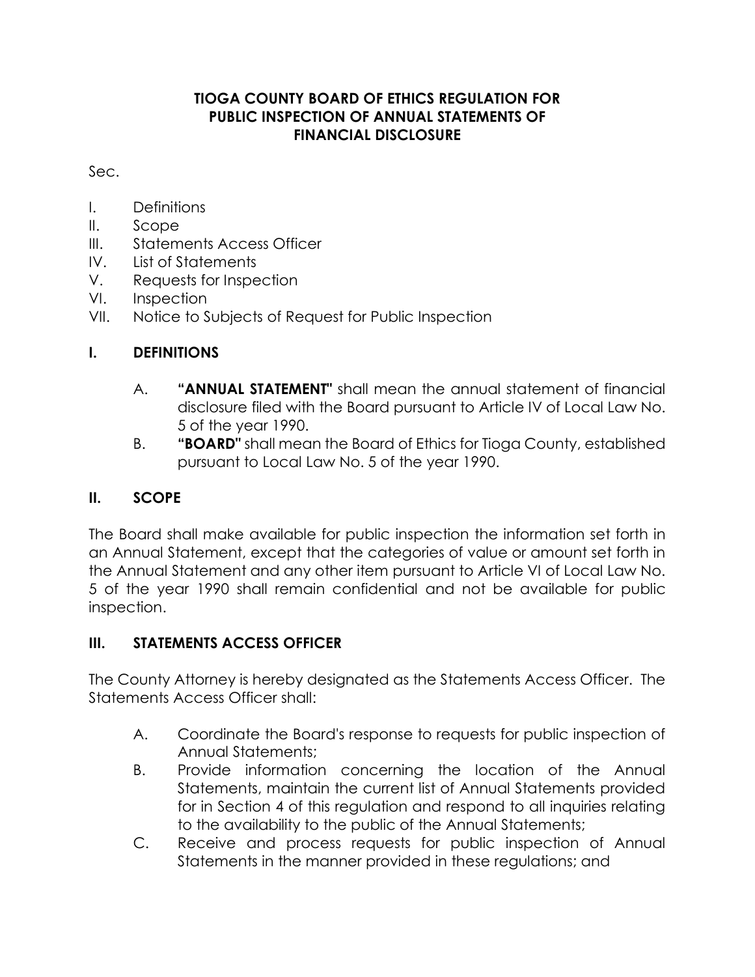## **TIOGA COUNTY BOARD OF ETHICS REGULATION FOR PUBLIC INSPECTION OF ANNUAL STATEMENTS OF FINANCIAL DISCLOSURE**

Sec.

- I. Definitions
- II. Scope
- III. Statements Access Officer
- IV. List of Statements
- V. Requests for Inspection
- VI. Inspection
- VII. Notice to Subjects of Request for Public Inspection

# **I. DEFINITIONS**

- A. **"ANNUAL STATEMENT"** shall mean the annual statement of financial disclosure filed with the Board pursuant to Article IV of Local Law No. 5 of the year 1990.
- B. **"BOARD"** shall mean the Board of Ethics for Tioga County, established pursuant to Local Law No. 5 of the year 1990.

# **II. SCOPE**

The Board shall make available for public inspection the information set forth in an Annual Statement, except that the categories of value or amount set forth in the Annual Statement and any other item pursuant to Article VI of Local Law No. 5 of the year 1990 shall remain confidential and not be available for public inspection.

## **III. STATEMENTS ACCESS OFFICER**

The County Attorney is hereby designated as the Statements Access Officer. The Statements Access Officer shall:

- A. Coordinate the Board's response to requests for public inspection of Annual Statements;
- B. Provide information concerning the location of the Annual Statements, maintain the current list of Annual Statements provided for in Section 4 of this regulation and respond to all inquiries relating to the availability to the public of the Annual Statements;
- C. Receive and process requests for public inspection of Annual Statements in the manner provided in these regulations; and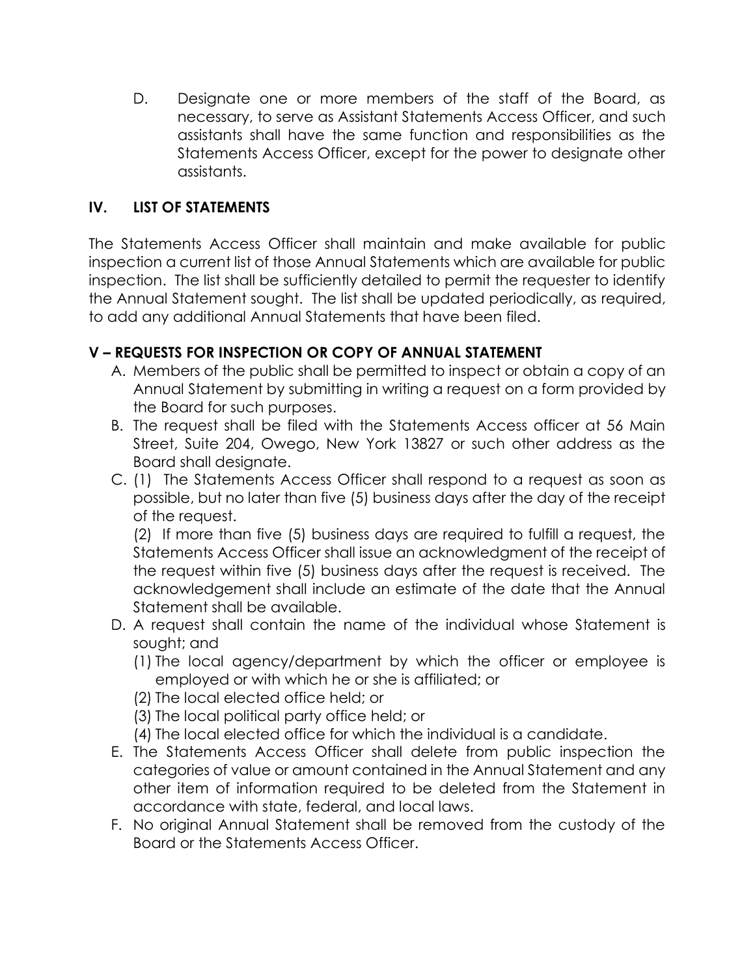D. Designate one or more members of the staff of the Board, as necessary, to serve as Assistant Statements Access Officer, and such assistants shall have the same function and responsibilities as the Statements Access Officer, except for the power to designate other assistants.

## **IV. LIST OF STATEMENTS**

The Statements Access Officer shall maintain and make available for public inspection a current list of those Annual Statements which are available for public inspection. The list shall be sufficiently detailed to permit the requester to identify the Annual Statement sought. The list shall be updated periodically, as required, to add any additional Annual Statements that have been filed.

## **V – REQUESTS FOR INSPECTION OR COPY OF ANNUAL STATEMENT**

- A. Members of the public shall be permitted to inspect or obtain a copy of an Annual Statement by submitting in writing a request on a form provided by the Board for such purposes.
- B. The request shall be filed with the Statements Access officer at 56 Main Street, Suite 204, Owego, New York 13827 or such other address as the Board shall designate.
- C. (1) The Statements Access Officer shall respond to a request as soon as possible, but no later than five (5) business days after the day of the receipt of the request.

(2) If more than five (5) business days are required to fulfill a request, the Statements Access Officer shall issue an acknowledgment of the receipt of the request within five (5) business days after the request is received. The acknowledgement shall include an estimate of the date that the Annual Statement shall be available.

- D. A request shall contain the name of the individual whose Statement is sought; and
	- (1) The local agency/department by which the officer or employee is employed or with which he or she is affiliated; or
	- (2) The local elected office held; or
	- (3) The local political party office held; or
	- (4) The local elected office for which the individual is a candidate.
- E. The Statements Access Officer shall delete from public inspection the categories of value or amount contained in the Annual Statement and any other item of information required to be deleted from the Statement in accordance with state, federal, and local laws.
- F. No original Annual Statement shall be removed from the custody of the Board or the Statements Access Officer.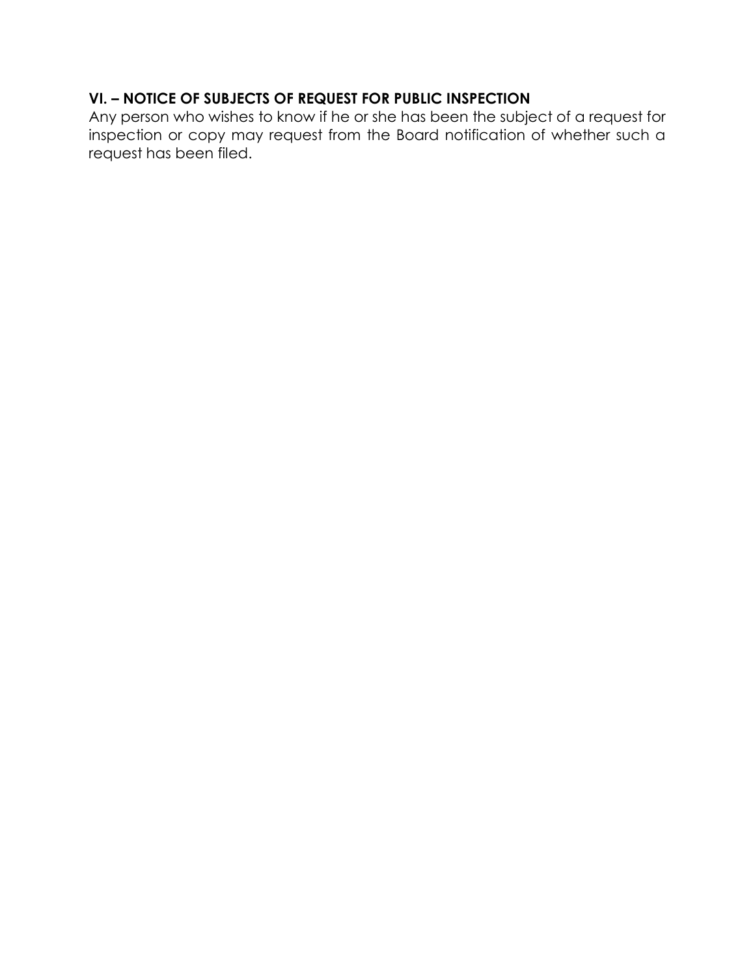# **VI. – NOTICE OF SUBJECTS OF REQUEST FOR PUBLIC INSPECTION**

Any person who wishes to know if he or she has been the subject of a request for inspection or copy may request from the Board notification of whether such a request has been filed.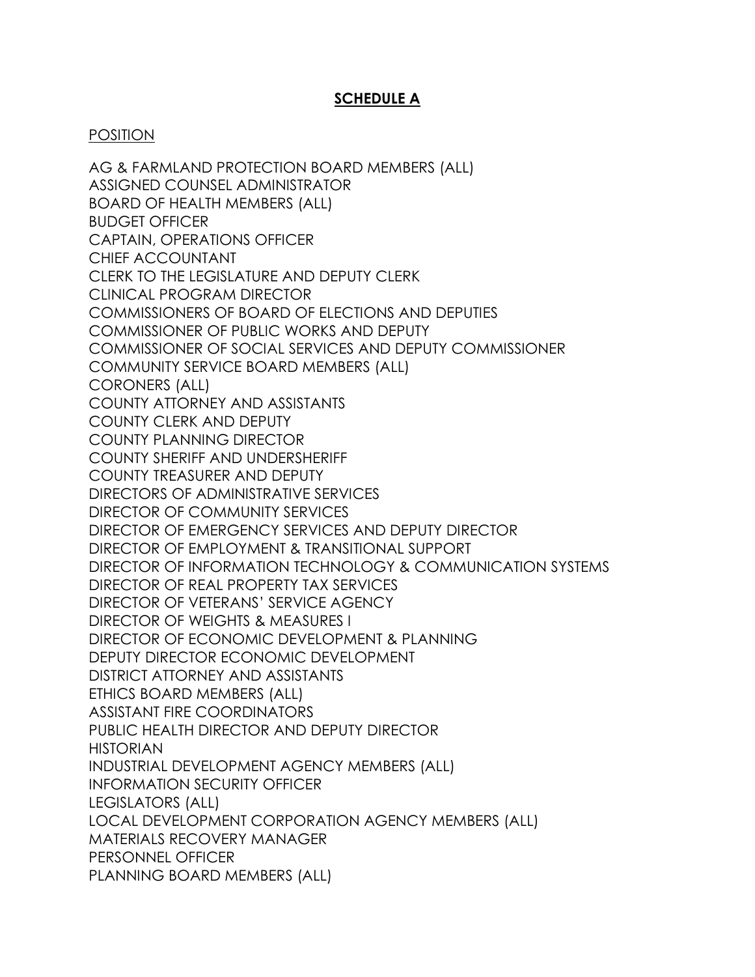### **SCHEDULE A**

#### POSITION

AG & FARMLAND PROTECTION BOARD MEMBERS (ALL) ASSIGNED COUNSEL ADMINISTRATOR BOARD OF HEALTH MEMBERS (ALL) BUDGET OFFICER CAPTAIN, OPERATIONS OFFICER CHIEF ACCOUNTANT CLERK TO THE LEGISLATURE AND DEPUTY CLERK CLINICAL PROGRAM DIRECTOR COMMISSIONERS OF BOARD OF ELECTIONS AND DEPUTIES COMMISSIONER OF PUBLIC WORKS AND DEPUTY COMMISSIONER OF SOCIAL SERVICES AND DEPUTY COMMISSIONER COMMUNITY SERVICE BOARD MEMBERS (ALL) CORONERS (ALL) COUNTY ATTORNEY AND ASSISTANTS COUNTY CLERK AND DEPUTY COUNTY PLANNING DIRECTOR COUNTY SHERIFF AND UNDERSHERIFF COUNTY TREASURER AND DEPUTY DIRECTORS OF ADMINISTRATIVE SERVICES DIRECTOR OF COMMUNITY SERVICES DIRECTOR OF EMERGENCY SERVICES AND DEPUTY DIRECTOR DIRECTOR OF EMPLOYMENT & TRANSITIONAL SUPPORT DIRECTOR OF INFORMATION TECHNOLOGY & COMMUNICATION SYSTEMS DIRECTOR OF REAL PROPERTY TAX SERVICES DIRECTOR OF VETERANS' SERVICE AGENCY DIRECTOR OF WEIGHTS & MEASURES I DIRECTOR OF ECONOMIC DEVELOPMENT & PLANNING DEPUTY DIRECTOR ECONOMIC DEVELOPMENT DISTRICT ATTORNEY AND ASSISTANTS ETHICS BOARD MEMBERS (ALL) ASSISTANT FIRE COORDINATORS PUBLIC HEALTH DIRECTOR AND DEPUTY DIRECTOR HISTORIAN INDUSTRIAL DEVELOPMENT AGENCY MEMBERS (ALL) INFORMATION SECURITY OFFICER LEGISLATORS (ALL) LOCAL DEVELOPMENT CORPORATION AGENCY MEMBERS (ALL) MATERIALS RECOVERY MANAGER PERSONNEL OFFICER PLANNING BOARD MEMBERS (ALL)